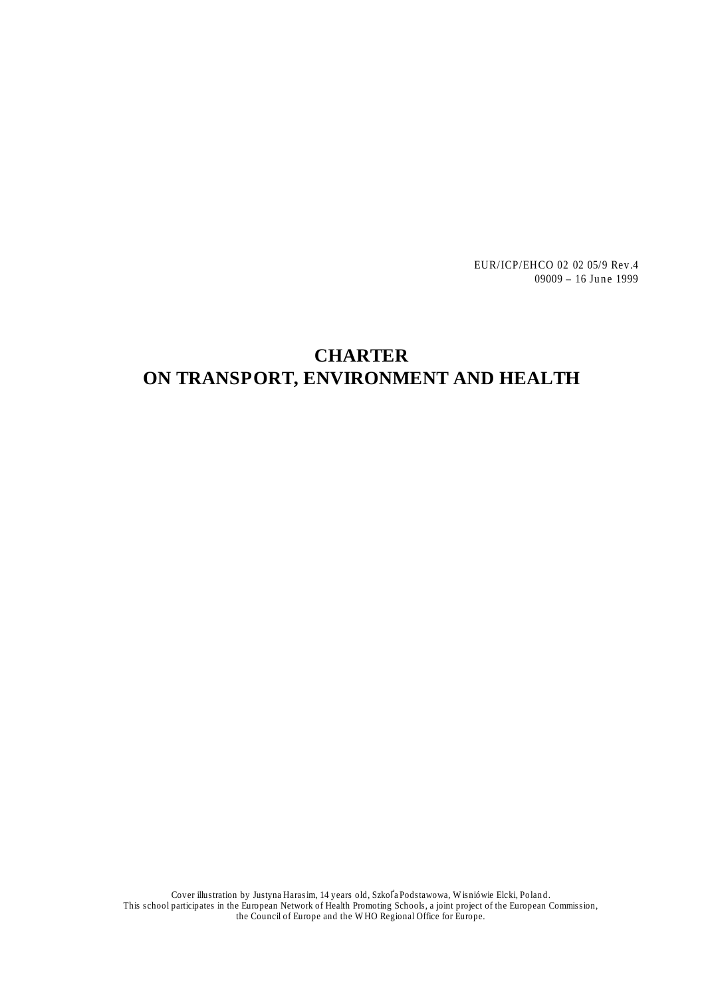EUR/ICP/EHCO 02 02 05/9 Rev.4 09009 – 16 June 1999

# **CHARTER ON TRANSPORT, ENVIRONMENT AND HEALTH**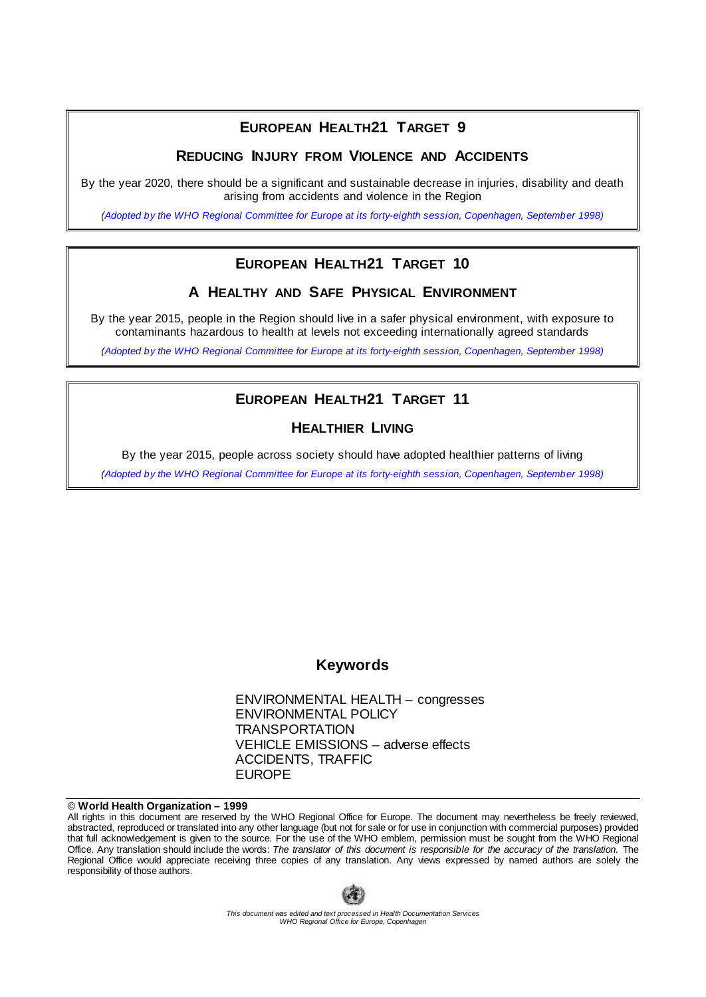## **EUROPEAN HEALTH21 TARGET 9**

#### **REDUCING INJURY FROM VIOLENCE AND ACCIDENTS**

By the year 2020, there should be a significant and sustainable decrease in injuries, disability and death arising from accidents and violence in the Region

*(Adopted by the WHO Regional Committee for Europe at its forty-eighth session, Copenhagen, September 1998)*

## **EUROPEAN HEALTH21 TARGET 10**

#### **A HEALTHY AND SAFE PHYSICAL ENVIRONMENT**

By the year 2015, people in the Region should live in a safer physical environment, with exposure to contaminants hazardous to health at levels not exceeding internationally agreed standards

*(Adopted by the WHO Regional Committee for Europe at its forty-eighth session, Copenhagen, September 1998)*

## **EUROPEAN HEALTH21 TARGET 11**

#### **HEALTHIER LIVING**

By the year 2015, people across society should have adopted healthier patterns of living

*(Adopted by the WHO Regional Committee for Europe at its forty-eighth session, Copenhagen, September 1998)*

#### **Keywords**

ENVIRONMENTAL HEALTH – congresses ENVIRONMENTAL POLICY TRANSPORTATION VEHICLE EMISSIONS – adverse effects ACCIDENTS, TRAFFIC EUROPE

#### © **World Health Organization – 1999**

All rights in this document are reserved by the WHO Regional Office for Europe. The document may nevertheless be freely reviewed, abstracted, reproduced or translated into any other language (but not for sale or for use in conjunction with commercial purposes) provided that full acknowledgement is given to the source. For the use of the WHO emblem, permission must be sought from the WHO Regional Office. Any translation should include the words: *The translator of this document is responsible for the accuracy of the translation*. The Regional Office would appreciate receiving three copies of any translation. Any views expressed by named authors are solely the responsibility of those authors.



*This document was edited and text processed in Health Documentation Services WHO Regional Office for Europe, Copenhagen*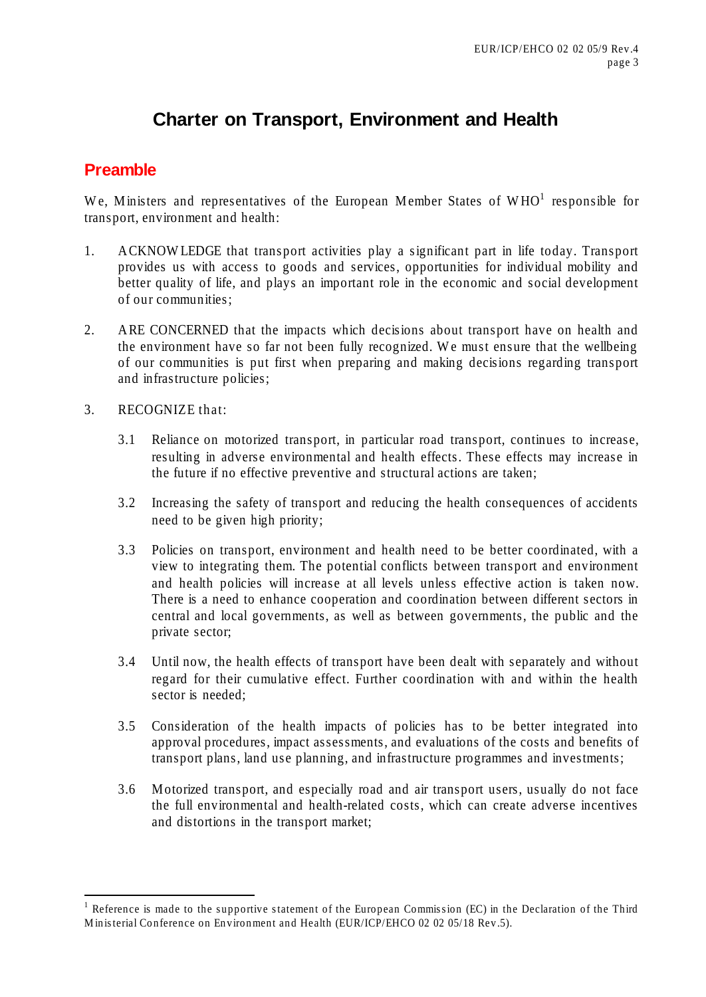# **Charter on Transport, Environment and Health**

## **Preamble**

We, Ministers and representatives of the European Member States of  $WHO<sup>1</sup>$  responsible for transport, environment and health:

- 1. ACKNOWLEDGE that transport activities play a significant part in life today. Transport provides us with access to goods and services, opportunities for individual mobility and better quality of life, and plays an important role in the economic and social development of our communities;
- 2. ARE CONCERNED that the impacts which decisions about transport have on health and the environment have so far not been fully recognized. We must ensure that the wellbeing of our communities is put first when preparing and making decisions regarding transport and infrastructure policies;
- 3. RECOGNIZE that:

 $\overline{a}$ 

- 3.1 Reliance on motorized transport, in particular road transport, continues to increase, resulting in adverse environmental and health effects. These effects may increase in the future if no effective preventive and structural actions are taken;
- 3.2 Increasing the safety of transport and reducing the health consequences of accidents need to be given high priority;
- 3.3 Policies on transport, environment and health need to be better coordinated, with a view to integrating them. The potential conflicts between transport and environment and health policies will increase at all levels unless effective action is taken now. There is a need to enhance cooperation and coordination between different sectors in central and local governments, as well as between governments, the public and the private sector;
- 3.4 Until now, the health effects of transport have been dealt with separately and without regard for their cumulative effect. Further coordination with and within the health sector is needed:
- 3.5 Consideration of the health impacts of policies has to be better integrated into approval procedures, impact assessments, and evaluations of the costs and benefits of transport plans, land use planning, and infrastructure programmes and investments;
- 3.6 Motorized transport, and especially road and air transport users, usually do not face the full environmental and health-related costs, which can create adverse incentives and distortions in the transport market;

<sup>&</sup>lt;sup>1</sup> Reference is made to the supportive statement of the European Commission (EC) in the Declaration of the Third Ministerial Conference on Environment and Health (EUR/ICP/EHCO 02 02 05/18 Rev.5).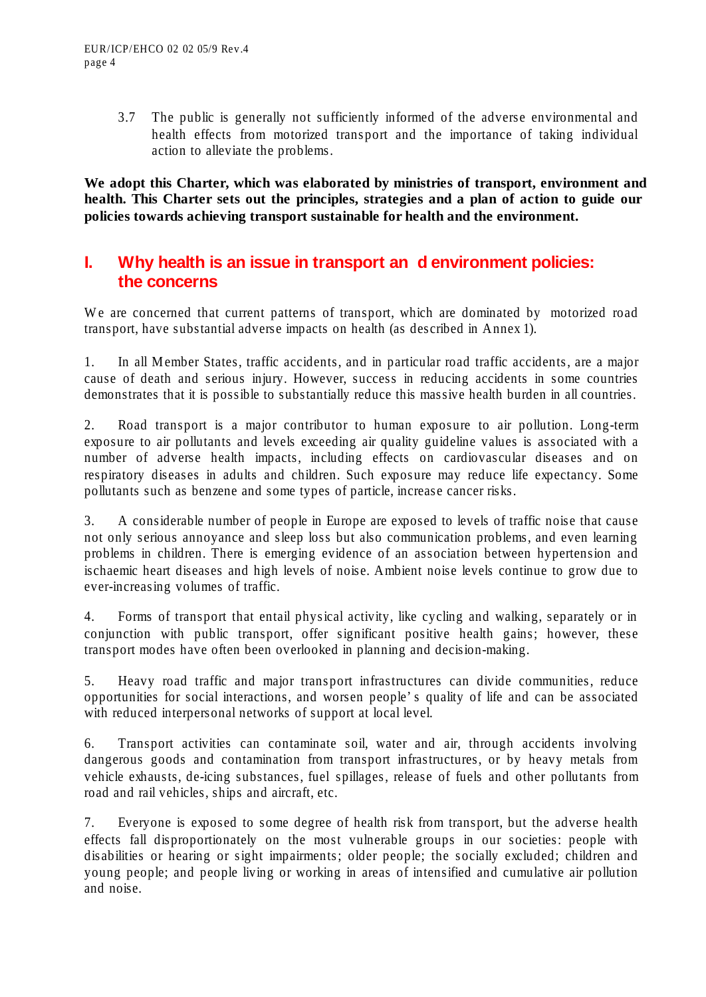3.7 The public is generally not sufficiently informed of the adverse environmental and health effects from motorized transport and the importance of taking individual action to alleviate the problems.

**We adopt this Charter, which was elaborated by ministries of transport, environment and health. This Charter sets out the principles, strategies and a plan of action to guide our policies towards achieving transport sustainable for health and the environment.**

## **I. Why health is an issue in transport an d environment policies: the concerns**

We are concerned that current patterns of transport, which are dominated by motorized road transport, have substantial adverse impacts on health (as described in Annex 1).

1. In all Member States, traffic accidents, and in particular road traffic accidents, are a major cause of death and serious injury. However, success in reducing accidents in some countries demonstrates that it is possible to substantially reduce this massive health burden in all countries.

2. Road transport is a major contributor to human exposure to air pollution. Long-term exposure to air pollutants and levels exceeding air quality guideline values is associated with a number of adverse health impacts, including effects on cardiovascular diseases and on respiratory diseases in adults and children. Such exposure may reduce life expectancy. Some pollutants such as benzene and some types of particle, increase cancer risks.

3. A considerable number of people in Europe are exposed to levels of traffic noise that cause not only serious annoyance and sleep loss but also communication problems, and even learning problems in children. There is emerging evidence of an association between hypertension and ischaemic heart diseases and high levels of noise. Ambient noise levels continue to grow due to ever-increasing volumes of traffic.

4. Forms of transport that entail physical activity, like cycling and walking, separately or in conjunction with public transport, offer significant positive health gains; however, these transport modes have often been overlooked in planning and decision-making.

5. Heavy road traffic and major transport infrastructures can divide communities, reduce opportunities for social interactions, and worsen people's quality of life and can be associated with reduced interpersonal networks of support at local level.

6. Transport activities can contaminate soil, water and air, through accidents involving dangerous goods and contamination from transport infrastructures, or by heavy metals from vehicle exhausts, de-icing substances, fuel spillages, release of fuels and other pollutants from road and rail vehicles, ships and aircraft, etc.

7. Everyone is exposed to some degree of health risk from transport, but the adverse health effects fall disproportionately on the most vulnerable groups in our societies: people with disabilities or hearing or sight impairments; older people; the socially excluded; children and young people; and people living or working in areas of intensified and cumulative air pollution and noise.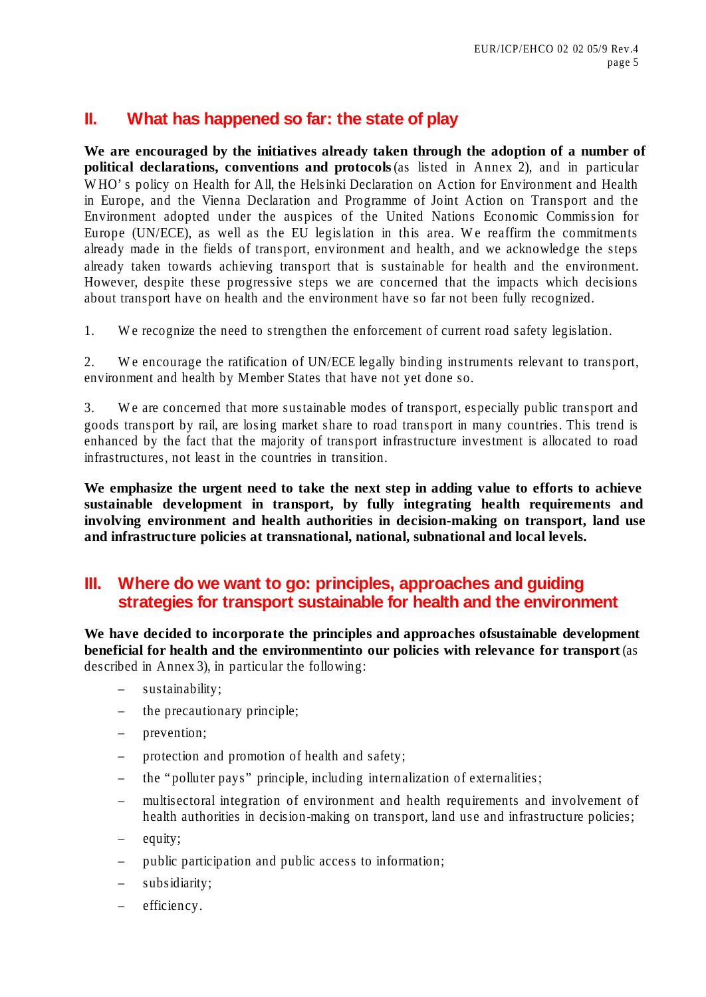## **II. What has happened so far: the state of play**

**We are encouraged by the initiatives already taken through the adoption of a number of political declarations, conventions and protocols** (as listed in Annex 2), and in particular WHO's policy on Health for All, the Helsinki Declaration on Action for Environment and Health in Europe, and the Vienna Declaration and Programme of Joint Action on Transport and the Environment adopted under the auspices of the United Nations Economic Commission for Europe (UN/ECE), as well as the EU legislation in this area. We reaffirm the commitments already made in the fields of transport, environment and health, and we acknowledge the steps already taken towards achieving transport that is sustainable for health and the environment. However, despite these progressive steps we are concerned that the impacts which decisions about transport have on health and the environment have so far not been fully recognized.

1. We recognize the need to strengthen the enforcement of current road safety legislation.

2. We encourage the ratification of UN/ECE legally binding instruments relevant to transport, environment and health by Member States that have not yet done so.

3. We are concerned that more sustainable modes of transport, especially public transport and goods transport by rail, are losing market share to road transport in many countries. This trend is enhanced by the fact that the majority of transport infrastructure investment is allocated to road infrastructures, not least in the countries in transition.

**We emphasize the urgent need to take the next step in adding value to efforts to achieve sustainable development in transport, by fully integrating health requirements and involving environment and health authorities in decision-making on transport, land use and infrastructure policies at transnational, national, subnational and local levels.**

## **III. Where do we want to go: principles, approaches and guiding strategies for transport sustainable for health and the environment**

**We have decided to incorporate the principles and approaches of sustainable development beneficial for health and the environmentinto our policies with relevance for transport** (as described in Annex 3), in particular the following:

- sustainability;
- the precautionary principle;
- prevention;
- protection and promotion of health and safety;
- the "polluter pays" principle, including internalization of externalities;
- multisectoral integration of environment and health requirements and involvement of health authorities in decision-making on transport, land use and infrastructure policies;
- equity;
- public participation and public access to information;
- subsidiarity;
- efficiency.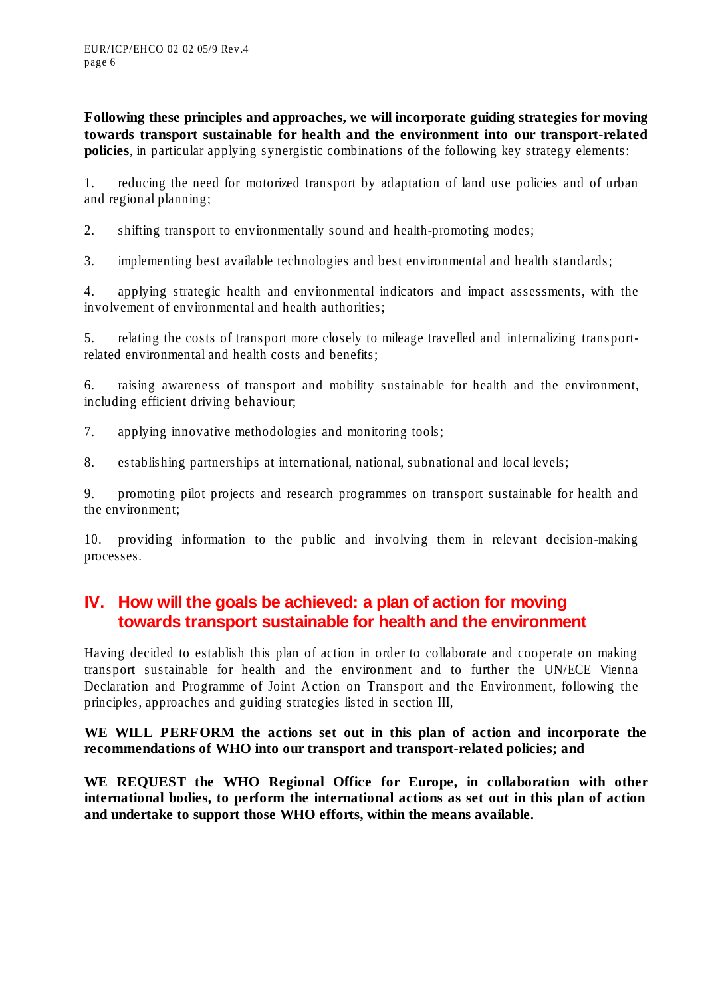**Following these principles and approaches, we will incorporate guiding strategies for moving towards transport sustainable for health and the environment into our transport-related policies**, in particular applying synergistic combinations of the following key strategy elements:

1. reducing the need for motorized transport by adaptation of land use policies and of urban and regional planning;

2. shifting transport to environmentally sound and health-promoting modes;

3. implementing best available technologies and best environmental and health standards;

4. applying strategic health and environmental indicators and impact assessments, with the involvement of environmental and health authorities;

5. relating the costs of transport more closely to mileage travelled and internalizing transportrelated environmental and health costs and benefits;

6. raising awareness of transport and mobility sustainable for health and the environment, including efficient driving behaviour;

7. applying innovative methodologies and monitoring tools;

8. establishing partnerships at international, national, subnational and local levels;

9. promoting pilot projects and research programmes on transport sustainable for health and the environment;

10. providing information to the public and involving them in relevant decision-making processes.

## **IV. How will the goals be achieved: a plan of action for moving towards transport sustainable for health and the environment**

Having decided to establish this plan of action in order to collaborate and cooperate on making transport sustainable for health and the environment and to further the UN/ECE Vienna Declaration and Programme of Joint Action on Transport and the Environment, following the principles, approaches and guiding strategies listed in section III,

**WE WILL PERFORM the actions set out in this plan of action and incorporate the recommendations of WHO into our transport and transport-related policies; and**

**WE REQUEST the WHO Regional Office for Europe, in collaboration with other international bodies, to perform the international actions as set out in this plan of action and undertake to support those WHO efforts, within the means available.**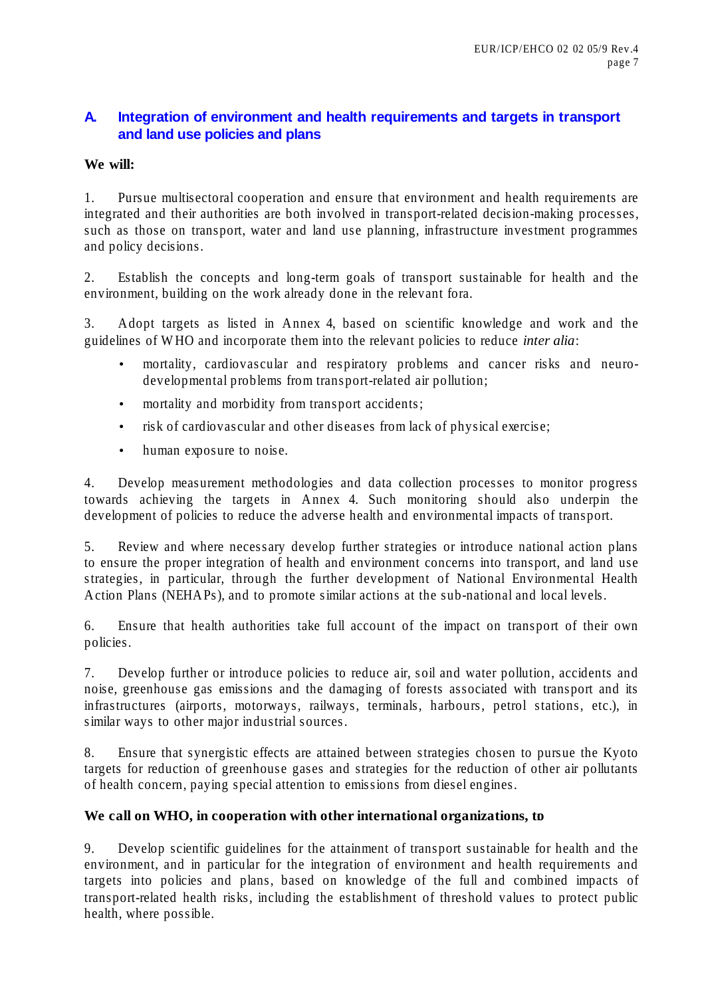## **A. Integration of environment and health requirements and targets in transport and land use policies and plans**

## **We will:**

1. Pursue multisectoral cooperation and ensure that environment and health requirements are integrated and their authorities are both involved in transport-related decision-making processes, such as those on transport, water and land use planning, infrastructure investment programmes and policy decisions.

2. Establish the concepts and long-term goals of transport sustainable for health and the environment, building on the work already done in the relevant fora.

3. Adopt targets as listed in Annex 4, based on scientific knowledge and work and the guidelines of WHO and incorporate them into the relevant policies to reduce *inter alia*:

- mortality, cardiovascular and respiratory problems and cancer risks and neurodevelopmental problems from transport-related air pollution;
- mortality and morbidity from transport accidents;
- risk of cardiovascular and other diseases from lack of physical exercise;
- human exposure to noise.

4. Develop measurement methodologies and data collection processes to monitor progress towards achieving the targets in Annex 4. Such monitoring should also underpin the development of policies to reduce the adverse health and environmental impacts of transport.

5. Review and where necessary develop further strategies or introduce national action plans to ensure the proper integration of health and environment concerns into transport, and land use strategies, in particular, through the further development of National Environmental Health Action Plans (NEHAPs), and to promote similar actions at the sub-national and local levels.

6. Ensure that health authorities take full account of the impact on transport of their own policies.

7. Develop further or introduce policies to reduce air, soil and water pollution, accidents and noise, greenhouse gas emissions and the damaging of forests associated with transport and its infrastructures (airports, motorways, railways, terminals, harbours, petrol stations, etc.), in similar ways to other major industrial sources.

8. Ensure that synergistic effects are attained between strategies chosen to pursue the Kyoto targets for reduction of greenhouse gases and strategies for the reduction of other air pollutants of health concern, paying special attention to emissions from diesel engines.

## **We call on WHO, in cooperation with other international organizations, to**:

9. Develop scientific guidelines for the attainment of transport sustainable for health and the environment, and in particular for the integration of environment and health requirements and targets into policies and plans, based on knowledge of the full and combined impacts of transport-related health risks, including the establishment of threshold values to protect public health, where possible.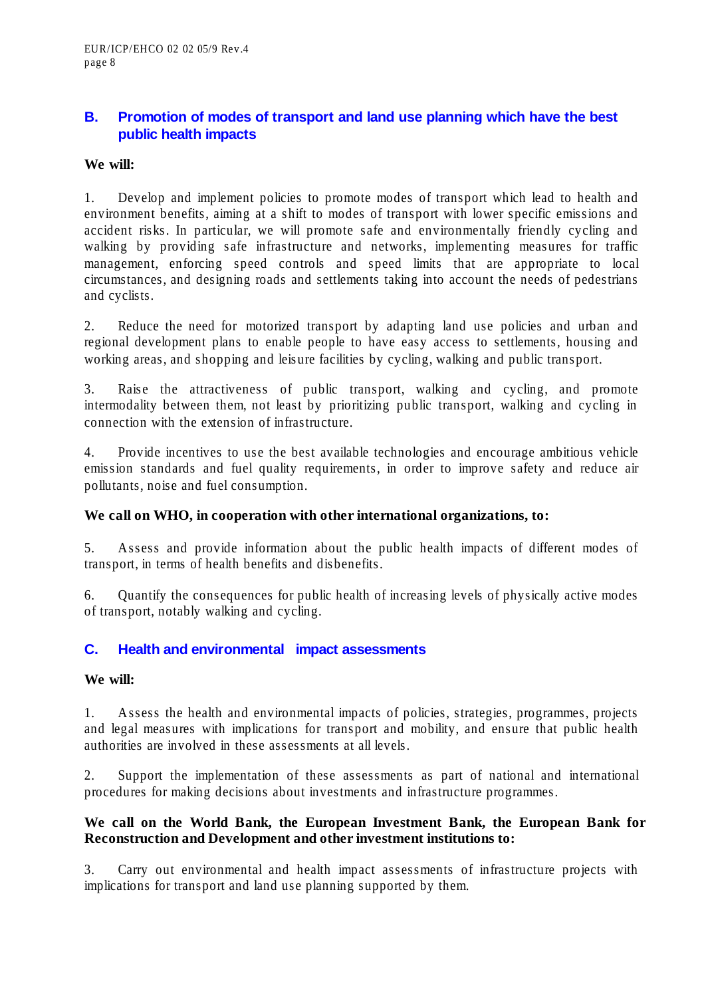## **B. Promotion of modes of transport and land use planning which have the best public health impacts**

## **We will:**

1. Develop and implement policies to promote modes of transport which lead to health and environment benefits, aiming at a shift to modes of transport with lower specific emissions and accident risks. In particular, we will promote safe and environmentally friendly cycling and walking by providing safe infrastructure and networks, implementing measures for traffic management, enforcing speed controls and speed limits that are appropriate to local circumstances, and designing roads and settlements taking into account the needs of pedestrians and cyclists.

2. Reduce the need for motorized transport by adapting land use policies and urban and regional development plans to enable people to have easy access to settlements, housing and working areas, and shopping and leisure facilities by cycling, walking and public transport.

3. Raise the attractiveness of public transport, walking and cycling, and promote intermodality between them, not least by prioritizing public transport, walking and cycling in connection with the extension of infrastructure.

4. Provide incentives to use the best available technologies and encourage ambitious vehicle emission standards and fuel quality requirements, in order to improve safety and reduce air pollutants, noise and fuel consumption.

## **We call on WHO, in cooperation with other international organizations, to:**

5. Assess and provide information about the public health impacts of different modes of transport, in terms of health benefits and disbenefits.

6. Quantify the consequences for public health of increasing levels of physically active modes of transport, notably walking and cycling.

## **C. Health and environmental impact assessments**

#### **We will:**

1. Assess the health and environmental impacts of policies, strategies, programmes, projects and legal measures with implications for transport and mobility, and ensure that public health authorities are involved in these assessments at all levels.

2. Support the implementation of these assessments as part of national and international procedures for making decisions about investments and infrastructure programmes.

### **We call on the World Bank, the European Investment Bank, the European Bank for Reconstruction and Development and other investment institutions to:**

3. Carry out environmental and health impact assessments of infrastructure projects with implications for transport and land use planning supported by them.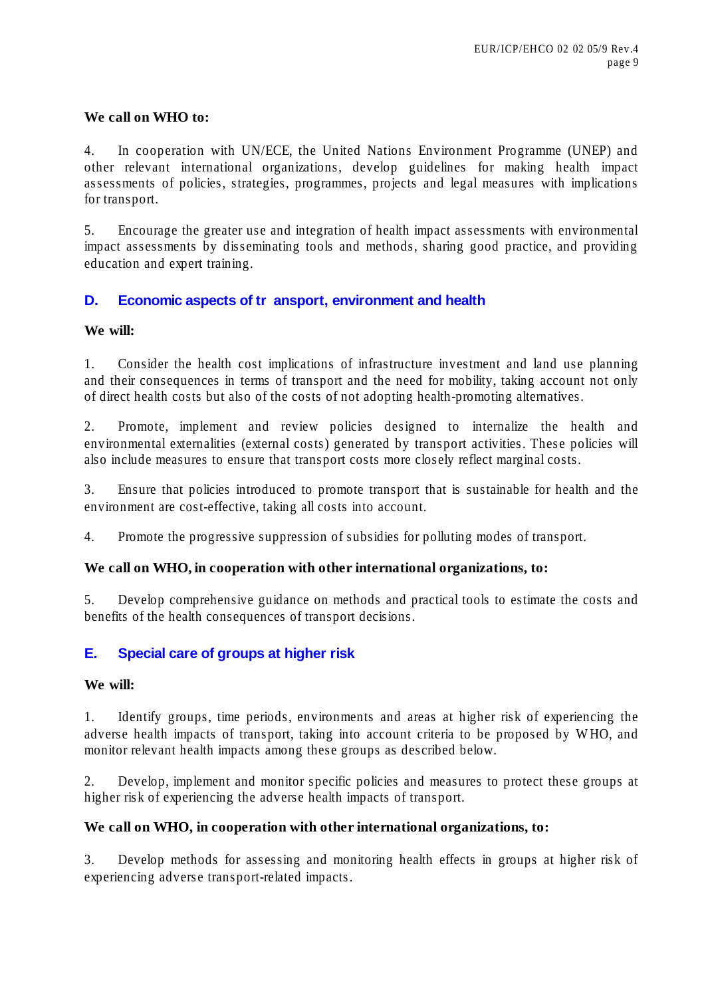## **We call on WHO to:**

4. In cooperation with UN/ECE, the United Nations Environment Programme (UNEP) and other relevant international organizations, develop guidelines for making health impact assessments of policies, strategies, programmes, projects and legal measures with implications for transport.

5. Encourage the greater use and integration of health impact assessments with environmental impact assessments by disseminating tools and methods, sharing good practice, and providing education and expert training.

## **D. Economic aspects of tr ansport, environment and health**

## **We will:**

1. Consider the health cost implications of infrastructure investment and land use planning and their consequences in terms of transport and the need for mobility, taking account not only of direct health costs but also of the costs of not adopting health-promoting alternatives.

2. Promote, implement and review policies designed to internalize the health and environmental externalities (external costs) generated by transport activities. These policies will also include measures to ensure that transport costs more closely reflect marginal costs.

3. Ensure that policies introduced to promote transport that is sustainable for health and the environment are cost-effective, taking all costs into account.

4. Promote the progressive suppression of subsidies for polluting modes of transport.

## **We call on WHO, in cooperation with other international organizations, to:**

5. Develop comprehensive guidance on methods and practical tools to estimate the costs and benefits of the health consequences of transport decisions.

## **E. Special care of groups at higher risk**

## **We will:**

1. Identify groups, time periods, environments and areas at higher risk of experiencing the adverse health impacts of transport, taking into account criteria to be proposed by WHO, and monitor relevant health impacts among these groups as described below.

2. Develop, implement and monitor specific policies and measures to protect these groups at higher risk of experiencing the adverse health impacts of transport.

## **We call on WHO, in cooperation with other international organizations, to:**

3. Develop methods for assessing and monitoring health effects in groups at higher risk of experiencing adverse transport-related impacts.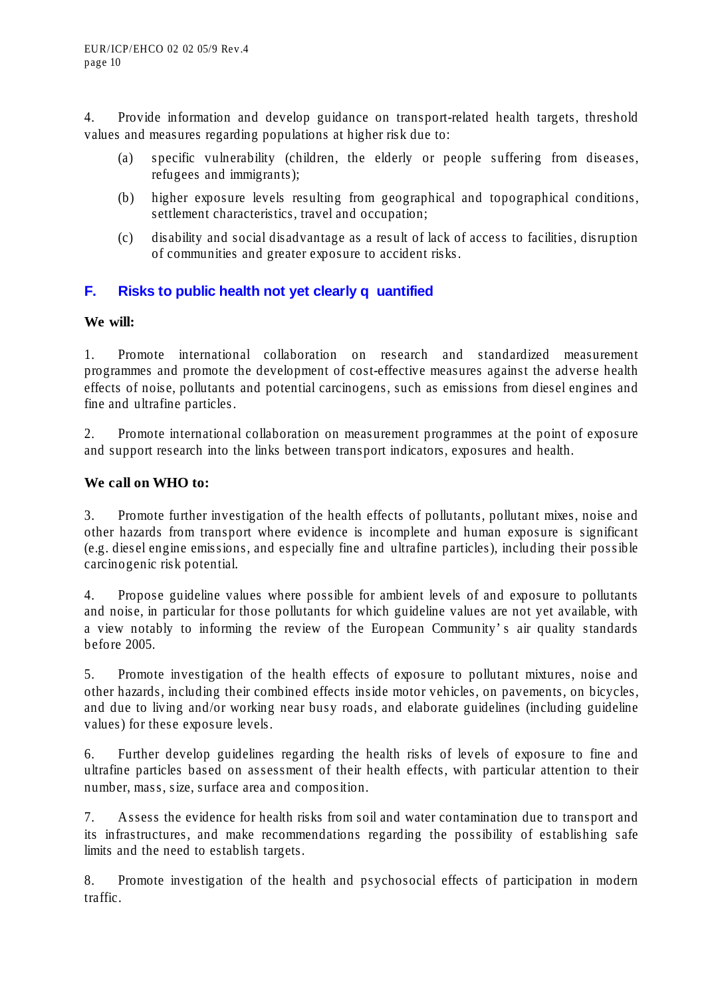4. Provide information and develop guidance on transport-related health targets, threshold values and measures regarding populations at higher risk due to:

- (a) specific vulnerability (children, the elderly or people suffering from diseases, refugees and immigrants);
- (b) higher exposure levels resulting from geographical and topographical conditions, settlement characteristics, travel and occupation;
- (c) disability and social disadvantage as a result of lack of access to facilities, disruption of communities and greater exposure to accident risks.

## **F. Risks to public health not yet clearly q uantified**

## **We will:**

1. Promote international collaboration on research and standardized measurement programmes and promote the development of cost-effective measures against the adverse health effects of noise, pollutants and potential carcinogens, such as emissions from diesel engines and fine and ultrafine particles.

2. Promote international collaboration on measurement programmes at the point of exposure and support research into the links between transport indicators, exposures and health.

## **We call on WHO to:**

3. Promote further investigation of the health effects of pollutants, pollutant mixes, noise and other hazards from transport where evidence is incomplete and human exposure is significant (e.g. diesel engine emissions, and especially fine and ultrafine particles), including their possible carcinogenic risk potential.

4. Propose guideline values where possible for ambient levels of and exposure to pollutants and noise, in particular for those pollutants for which guideline values are not yet available, with a view notably to informing the review of the European Community's air quality standards before 2005.

5. Promote investigation of the health effects of exposure to pollutant mixtures, noise and other hazards, including their combined effects inside motor vehicles, on pavements, on bicycles, and due to living and/or working near busy roads, and elaborate guidelines (including guideline values) for these exposure levels.

6. Further develop guidelines regarding the health risks of levels of exposure to fine and ultrafine particles based on assessment of their health effects, with particular attention to their number, mass, size, surface area and composition.

7. Assess the evidence for health risks from soil and water contamination due to transport and its infrastructures, and make recommendations regarding the possibility of establishing safe limits and the need to establish targets.

8. Promote investigation of the health and psychosocial effects of participation in modern traffic.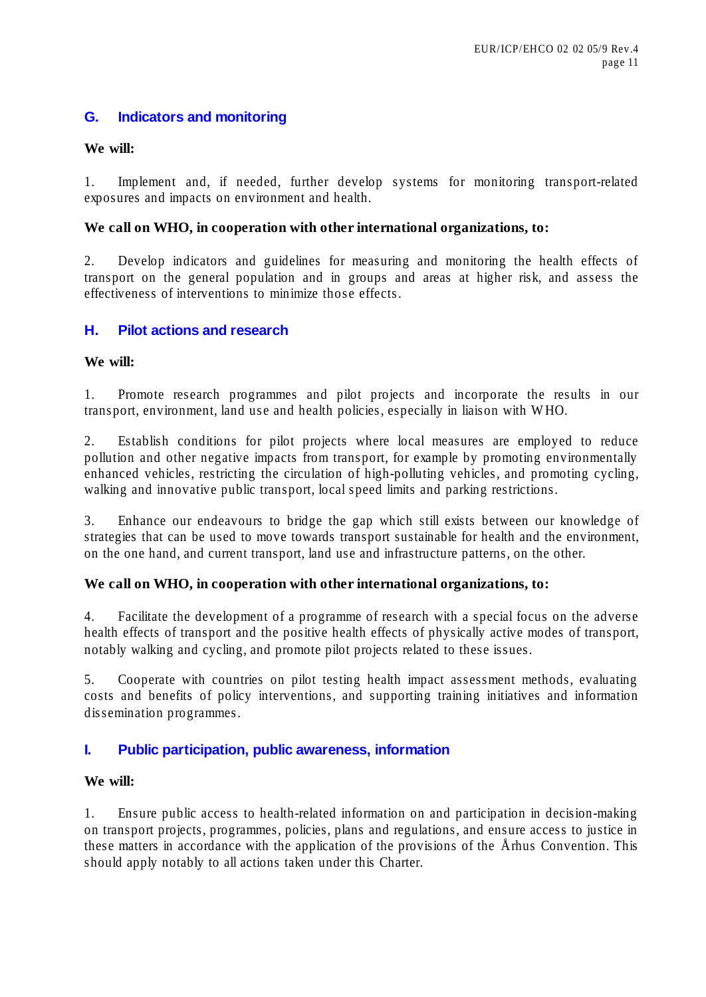## **G. Indicators and monitoring**

## **We will:**

1. Implement and, if needed, further develop systems for monitoring transport-related exposures and impacts on environment and health.

## **We call on WHO, in cooperation with other international organizations, to:**

2. Develop indicators and guidelines for measuring and monitoring the health effects of transport on the general population and in groups and areas at higher risk, and assess the effectiveness of interventions to minimize those effects.

## **H. Pilot actions and research**

#### **We will:**

1. Promote research programmes and pilot projects and incorporate the results in our transport, environment, land use and health policies, especially in liaison with WHO.

2. Establish conditions for pilot projects where local measures are employed to reduce pollution and other negative impacts from transport, for example by promoting environmentally enhanced vehicles, restricting the circulation of high-polluting vehicles, and promoting cycling, walking and innovative public transport, local speed limits and parking restrictions.

3. Enhance our endeavours to bridge the gap which still exists between our knowledge of strategies that can be used to move towards transport sustainable for health and the environment, on the one hand, and current transport, land use and infrastructure patterns, on the other.

#### **We call on WHO, in cooperation with other international organizations, to:**

4. Facilitate the development of a programme of research with a special focus on the adverse health effects of transport and the positive health effects of physically active modes of transport, notably walking and cycling, and promote pilot projects related to these issues.

5. Cooperate with countries on pilot testing health impact assessment methods, evaluating costs and benefits of policy interventions, and supporting training initiatives and information dissemination programmes.

## **I. Public participation, public awareness, information**

## **We will:**

1. Ensure public access to health-related information on and participation in decision-making on transport projects, programmes, policies, plans and regulations, and ensure access to justice in these matters in accordance with the application of the provisions of the Århus Convention. This should apply notably to all actions taken under this Charter.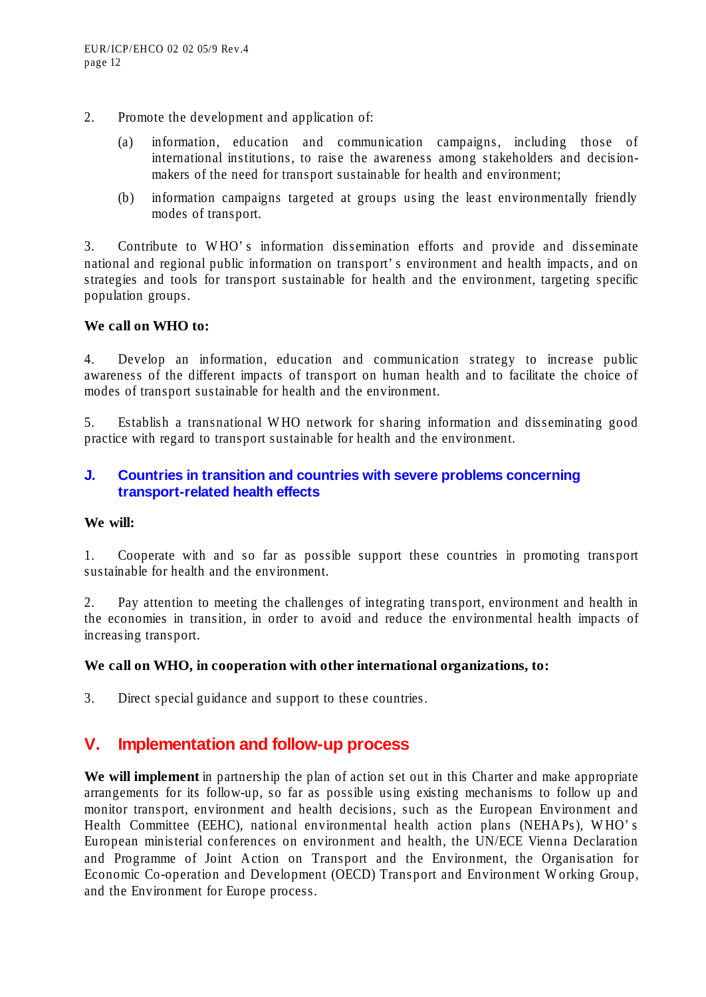- 2. Promote the development and application of:
	- (a) information, education and communication campaigns, including those of international institutions, to raise the awareness among stakeholders and decisionmakers of the need for transport sustainable for health and environment;
	- (b) information campaigns targeted at groups using the least environmentally friendly modes of transport.

3. Contribute to WHO's information dissemination efforts and provide and disseminate national and regional public information on transport's environment and health impacts, and on strategies and tools for transport sustainable for health and the environment, targeting specific population groups.

## **We call on WHO to:**

4. Develop an information, education and communication strategy to increase public awareness of the different impacts of transport on human health and to facilitate the choice of modes of transport sustainable for health and the environment.

5. Establish a transnational WHO network for sharing information and disseminating good practice with regard to transport sustainable for health and the environment.

## **J. Countries in transition and countries with severe problems concerning transport-related health effects**

#### **We will:**

1. Cooperate with and so far as possible support these countries in promoting transport sustainable for health and the environment.

2. Pay attention to meeting the challenges of integrating transport, environment and health in the economies in transition, in order to avoid and reduce the environmental health impacts of increasing transport.

#### **We call on WHO, in cooperation with other international organizations, to:**

3. Direct special guidance and support to these countries.

## **V. Implementation and follow-up process**

**We will implement** in partnership the plan of action set out in this Charter and make appropriate arrangements for its follow-up, so far as possible using existing mechanisms to follow up and monitor transport, environment and health decisions, such as the European Environment and Health Committee (EEHC), national environmental health action plans (NEHAPs), WHO's European ministerial conferences on environment and health, the UN/ECE Vienna Declaration and Programme of Joint Action on Transport and the Environment, the Organisation for Economic Co-operation and Development (OECD) Transport and Environment Working Group, and the Environment for Europe process.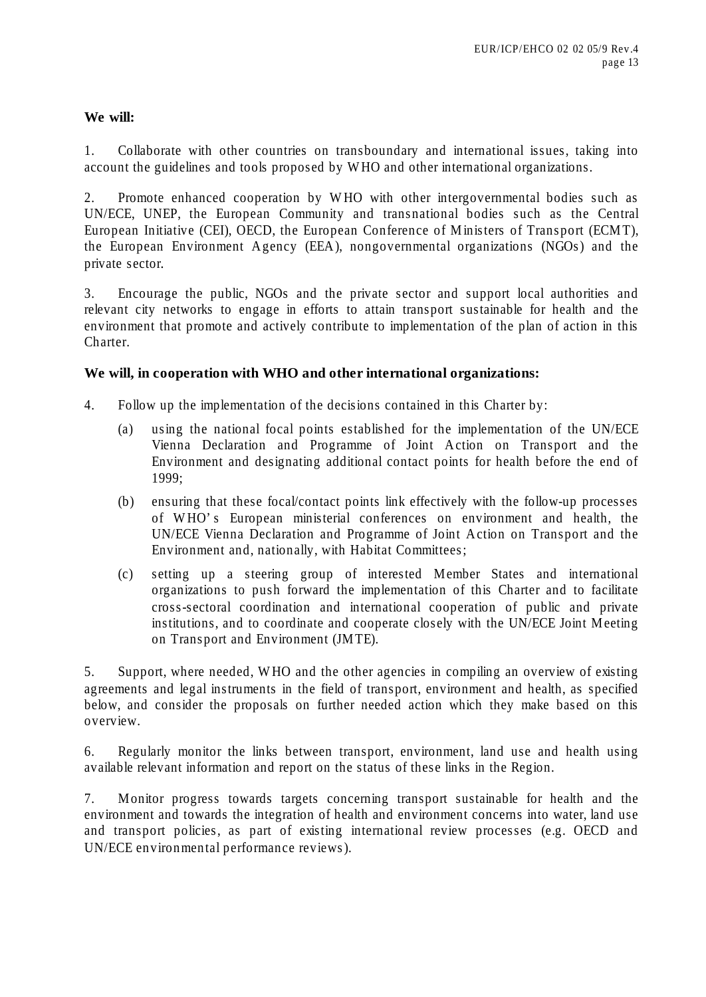## **We will:**

1. Collaborate with other countries on transboundary and international issues, taking into account the guidelines and tools proposed by WHO and other international organizations.

2. Promote enhanced cooperation by WHO with other intergovernmental bodies such as UN/ECE, UNEP, the European Community and transnational bodies such as the Central European Initiative (CEI), OECD, the European Conference of Ministers of Transport (ECMT), the European Environment Agency (EEA), nongovernmental organizations (NGOs) and the private sector*.*

3. Encourage the public, NGOs and the private sector and support local authorities and relevant city networks to engage in efforts to attain transport sustainable for health and the environment that promote and actively contribute to implementation of the plan of action in this Charter.

#### **We will, in cooperation with WHO and other international organizations:**

- 4. Follow up the implementation of the decisions contained in this Charter by:
	- (a) using the national focal points established for the implementation of the UN/ECE Vienna Declaration and Programme of Joint Action on Transport and the Environment and designating additional contact points for health before the end of 1999;
	- (b) ensuring that these focal/contact points link effectively with the follow-up processes of WHO's European ministerial conferences on environment and health, the UN/ECE Vienna Declaration and Programme of Joint Action on Transport and the Environment and, nationally, with Habitat Committees;
	- (c) setting up a steering group of interested Member States and international organizations to push forward the implementation of this Charter and to facilitate cross-sectoral coordination and international cooperation of public and private institutions, and to coordinate and cooperate closely with the UN/ECE Joint Meeting on Transport and Environment (JMTE).

5. Support, where needed, WHO and the other agencies in compiling an overview of existing agreements and legal instruments in the field of transport, environment and health, as specified below, and consider the proposals on further needed action which they make based on this overview.

6. Regularly monitor the links between transport, environment, land use and health using available relevant information and report on the status of these links in the Region.

7. Monitor progress towards targets concerning transport sustainable for health and the environment and towards the integration of health and environment concerns into water, land use and transport policies, as part of existing international review processes (e.g. OECD and UN/ECE environmental performance reviews).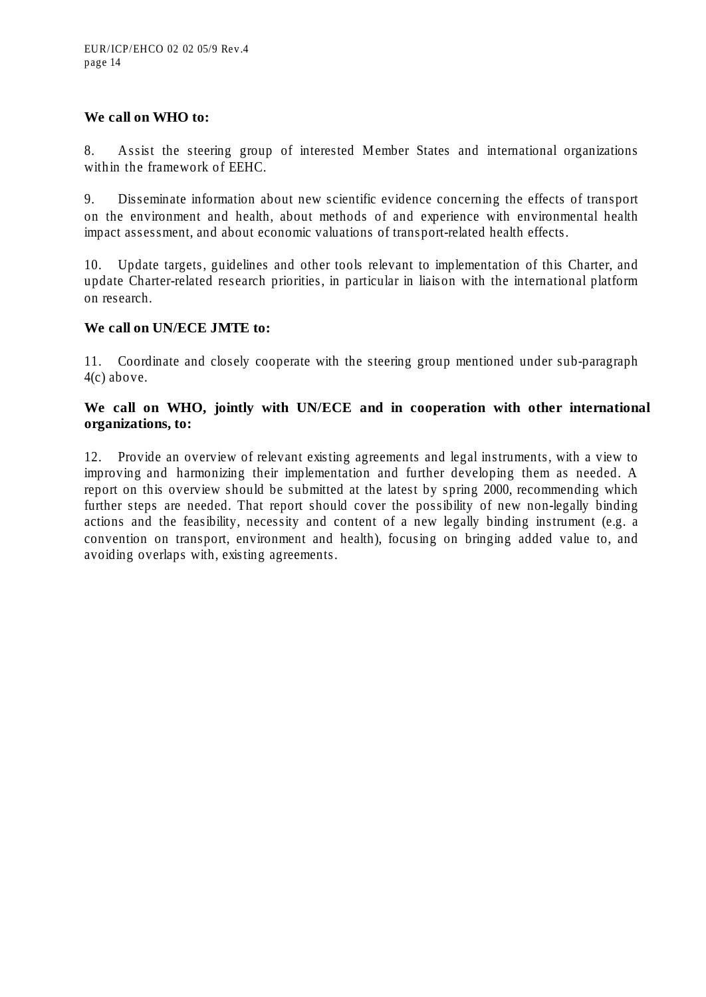## **We call on WHO to:**

8. Assist the steering group of interested Member States and international organizations within the framework of EEHC.

9. Disseminate information about new scientific evidence concerning the effects of transport on the environment and health, about methods of and experience with environmental health impact assessment, and about economic valuations of transport-related health effects.

10. Update targets, guidelines and other tools relevant to implementation of this Charter, and update Charter-related research priorities, in particular in liaison with the international platform on research.

### **We call on UN/ECE JMTE to:**

11. Coordinate and closely cooperate with the steering group mentioned under sub-paragraph 4(c) above.

## **We call on WHO, jointly with UN/ECE and in cooperation with other international organizations, to:**

12. Provide an overview of relevant existing agreements and legal instruments, with a view to improving and harmonizing their implementation and further developing them as needed. A report on this overview should be submitted at the latest by spring 2000, recommending which further steps are needed. That report should cover the possibility of new non-legally binding actions and the feasibility, necessity and content of a new legally binding instrument (e.g. a convention on transport, environment and health), focusing on bringing added value to, and avoiding overlaps with, existing agreements.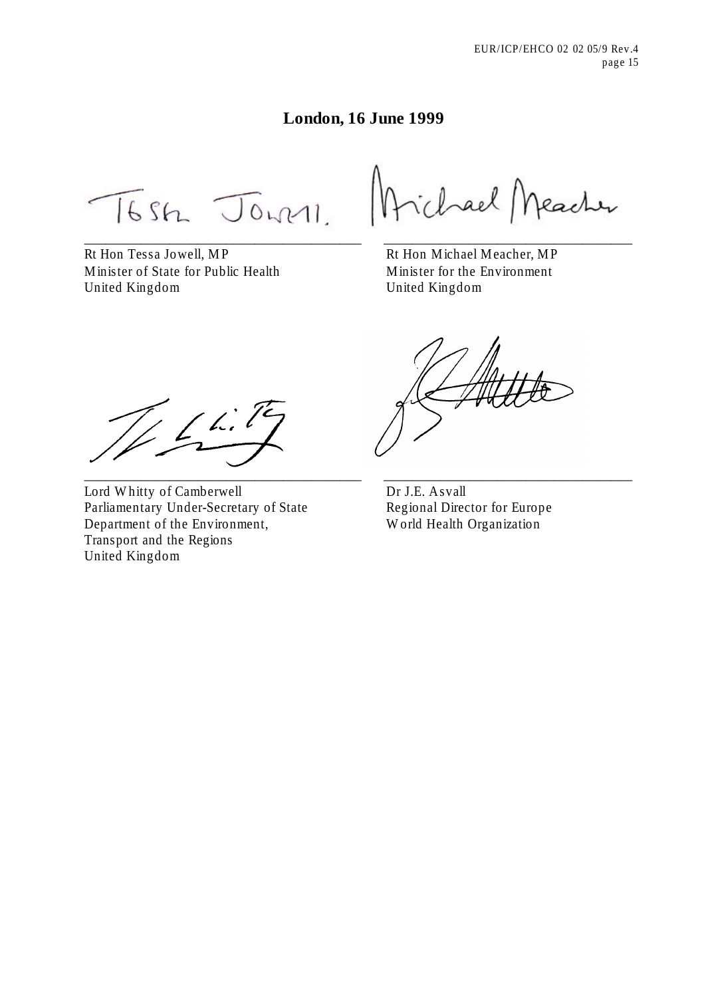## **London, 16 June 1999**

T6Sh John

Rt Hon Tessa Jowell, MP Rt Hon Michael Meacher, MP Minister of State for Public Health Minister for the Environment United Kingdom United Kingdom

Chael Meacher *\_\_\_\_\_\_\_\_\_\_\_\_\_\_\_\_\_\_\_\_\_\_\_\_\_\_\_\_\_\_\_\_\_\_\_\_\_\_\_ \_\_\_\_\_\_\_\_\_\_\_\_\_\_\_\_\_\_\_\_\_\_\_\_\_\_\_\_\_\_\_\_\_\_\_*

 $\mathcal{L}$  $\epsilon$ 

*\_\_\_\_\_\_\_\_\_\_\_\_\_\_\_\_\_\_\_\_\_\_\_\_\_\_\_\_\_\_\_\_\_\_\_\_\_\_\_ \_\_\_\_\_\_\_\_\_\_\_\_\_\_\_\_\_\_\_\_\_\_\_\_\_\_\_\_\_\_\_\_\_\_\_*

Lord Whitty of Camberwell Dr J.E. Asvall Parliamentary Under-Secretary of State Regional Director for Europe Department of the Environment, World Health Organization Transport and the Regions United Kingdom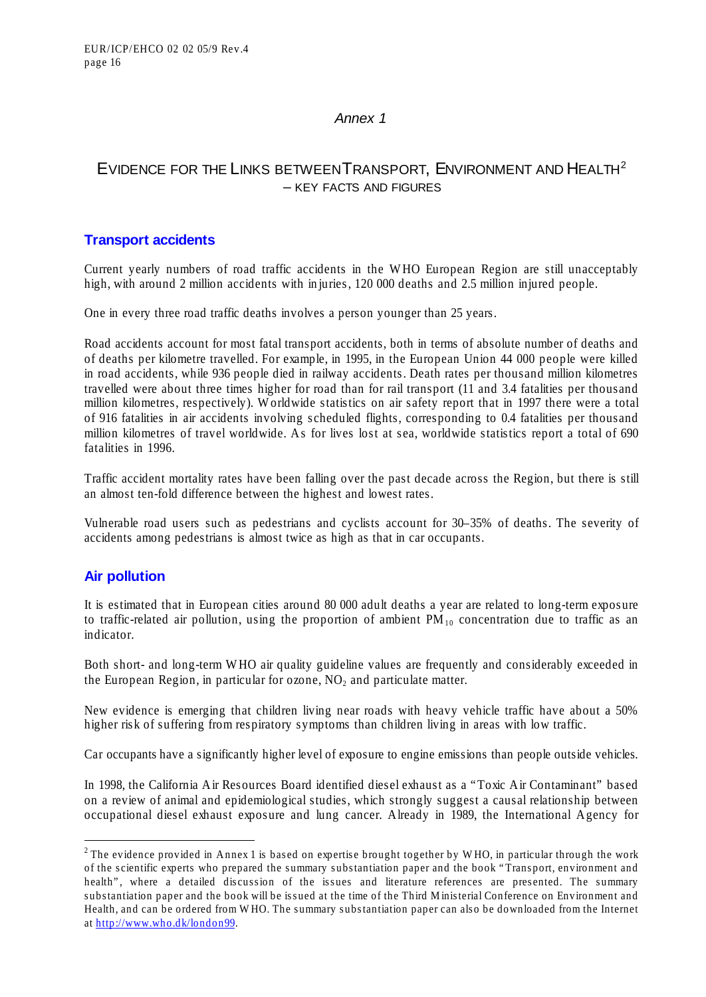### *Annex 1*

## EVIDENCE FOR THE LINKS BETWEEN TRANSPORT, ENVIRONMENT AND HEALTH<sup>2</sup> – KEY FACTS AND FIGURES

## **Transport accidents**

Current yearly numbers of road traffic accidents in the WHO European Region are still unacceptably high, with around 2 million accidents with injuries, 120 000 deaths and 2.5 million injured people.

One in every three road traffic deaths involves a person younger than 25 years.

Road accidents account for most fatal transport accidents, both in terms of absolute number of deaths and of deaths per kilometre travelled. For example, in 1995, in the European Union 44 000 people were killed in road accidents, while 936 people died in railway accidents. Death rates per thousand million kilometres travelled were about three times higher for road than for rail transport (11 and 3.4 fatalities per thousand million kilometres, respectively). Worldwide statistics on air safety report that in 1997 there were a total of 916 fatalities in air accidents involving scheduled flights, corresponding to 0.4 fatalities per thousand million kilometres of travel worldwide. As for lives lost at sea, worldwide statistics report a total of 690 fatalities in 1996.

Traffic accident mortality rates have been falling over the past decade across the Region, but there is still an almost ten-fold difference between the highest and lowest rates.

Vulnerable road users such as pedestrians and cyclists account for 30–35% of deaths. The severity of accidents among pedestrians is almost twice as high as that in car occupants.

## **Air pollution**

 $\overline{a}$ 

It is estimated that in European cities around 80 000 adult deaths a year are related to long-term exposure to traffic-related air pollution, using the proportion of ambient  $PM_{10}$  concentration due to traffic as an indicator.

Both short- and long-term WHO air quality guideline values are frequently and considerably exceeded in the European Region, in particular for ozone,  $NO<sub>2</sub>$  and particulate matter.

New evidence is emerging that children living near roads with heavy vehicle traffic have about a 50% higher risk of suffering from respiratory symptoms than children living in areas with low traffic.

Car occupants have a significantly higher level of exposure to engine emissions than people outside vehicles.

In 1998, the California Air Resources Board identified diesel exhaust as a "Toxic Air Contaminant" based on a review of animal and epidemiological studies, which strongly suggest a causal relationship between occupational diesel exhaust exposure and lung cancer. Already in 1989, the International Agency for

<sup>&</sup>lt;sup>2</sup> The evidence provided in Annex 1 is based on expertise brought together by WHO, in particular through the work of the scientific experts who prepared the summary substantiation paper and the book "Transport, environment and health", where a detailed discussion of the issues and literature references are presented. The summary substantiation paper and the book will be issued at the time of the Third Ministerial Conference on Environment and Health, and can be ordered from WHO. The summary substantiation paper can also be downloaded from the Internet at http://www.who.dk/london99.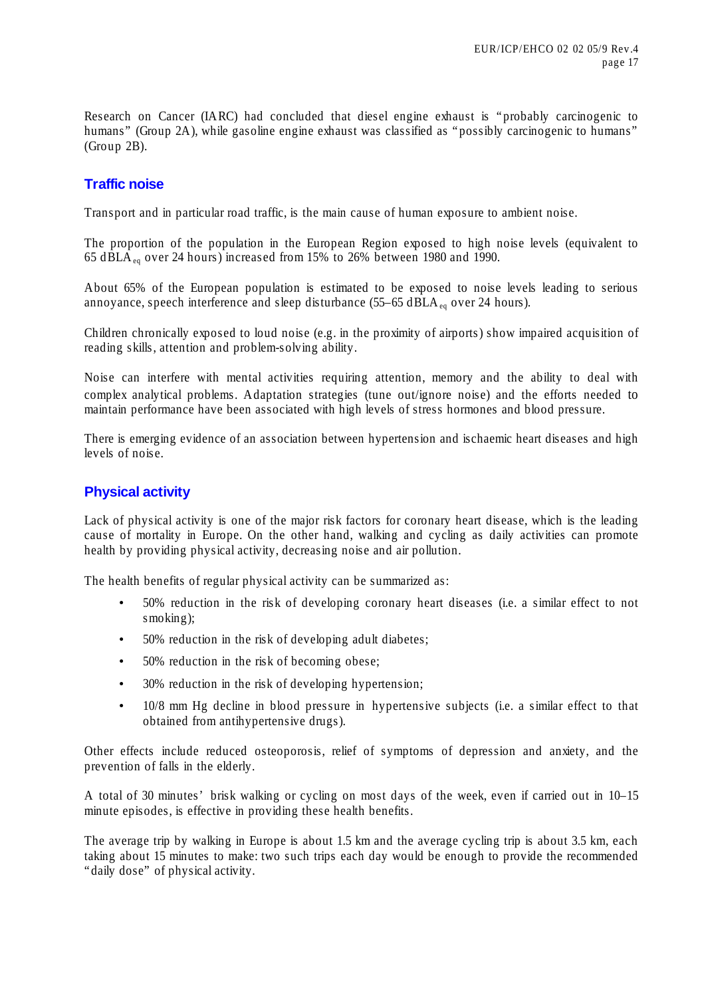Research on Cancer (IARC) had concluded that diesel engine exhaust is "probably carcinogenic to humans" (Group 2A), while gasoline engine exhaust was classified as "possibly carcinogenic to humans" (Group 2B).

## **Traffic noise**

Transport and in particular road traffic, is the main cause of human exposure to ambient noise.

The proportion of the population in the European Region exposed to high noise levels (equivalent to 65 dBLA $_{eq}$  over 24 hours) increased from 15% to 26% between 1980 and 1990.

About 65% of the European population is estimated to be exposed to noise levels leading to serious annoyance, speech interference and sleep disturbance  $(55-65 \text{ dBLA}_{eq} \text{ over } 24 \text{ hours}).$ 

Children chronically exposed to loud noise (e.g. in the proximity of airports) show impaired acquisition of reading skills, attention and problem-solving ability.

Noise can interfere with mental activities requiring attention, memory and the ability to deal with complex analytical problems. Adaptation strategies (tune out/ignore noise) and the efforts needed to maintain performance have been associated with high levels of stress hormones and blood pressure.

There is emerging evidence of an association between hypertension and ischaemic heart diseases and high levels of noise.

## **Physical activity**

Lack of physical activity is one of the major risk factors for coronary heart disease, which is the leading cause of mortality in Europe. On the other hand, walking and cycling as daily activities can promote health by providing physical activity, decreasing noise and air pollution.

The health benefits of regular physical activity can be summarized as:

- 50% reduction in the risk of developing coronary heart diseases (i.e. a similar effect to not smoking);
- 50% reduction in the risk of developing adult diabetes;
- 50% reduction in the risk of becoming obese;
- 30% reduction in the risk of developing hypertension;
- 10/8 mm Hg decline in blood pressure in hypertensive subjects (i.e. a similar effect to that obtained from antihypertensive drugs).

Other effects include reduced osteoporosis, relief of symptoms of depression and anxiety, and the prevention of falls in the elderly.

A total of 30 minutes' brisk walking or cycling on most days of the week, even if carried out in 10–15 minute episodes, is effective in providing these health benefits.

The average trip by walking in Europe is about 1.5 km and the average cycling trip is about 3.5 km, each taking about 15 minutes to make: two such trips each day would be enough to provide the recommended "daily dose" of physical activity.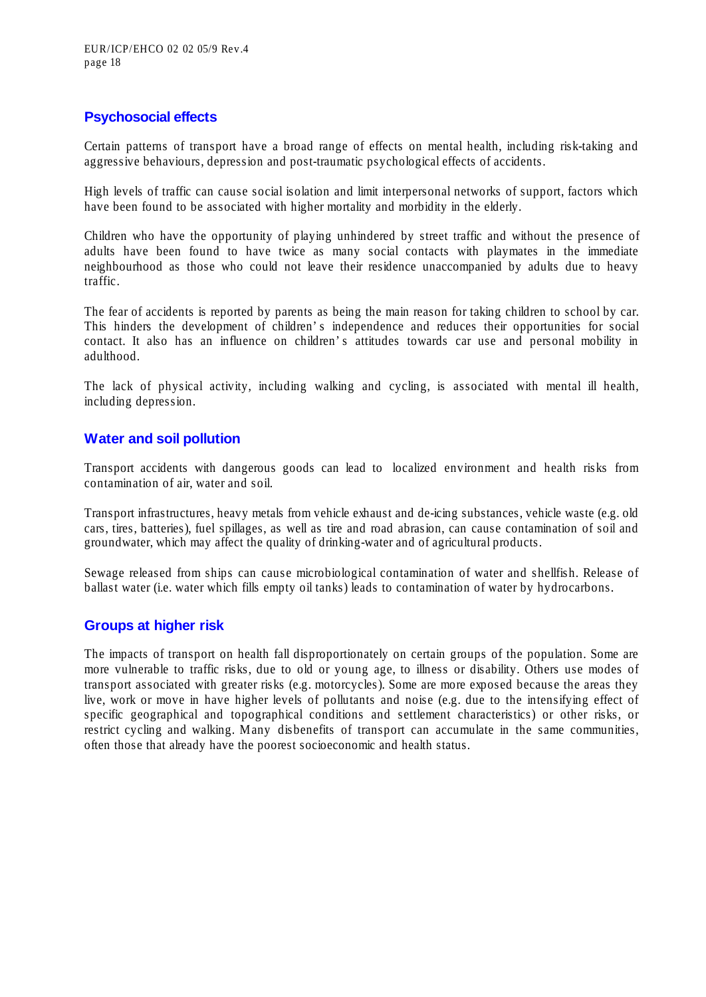## **Psychosocial effects**

Certain patterns of transport have a broad range of effects on mental health, including risk-taking and aggressive behaviours, depression and post-traumatic psychological effects of accidents.

High levels of traffic can cause social isolation and limit interpersonal networks of support, factors which have been found to be associated with higher mortality and morbidity in the elderly.

Children who have the opportunity of playing unhindered by street traffic and without the presence of adults have been found to have twice as many social contacts with playmates in the immediate neighbourhood as those who could not leave their residence unaccompanied by adults due to heavy traffic.

The fear of accidents is reported by parents as being the main reason for taking children to school by car. This hinders the development of children's independence and reduces their opportunities for social contact. It also has an influence on children's attitudes towards car use and personal mobility in adulthood.

The lack of physical activity, including walking and cycling, is associated with mental ill health, including depression.

#### **Water and soil pollution**

Transport accidents with dangerous goods can lead to localized environment and health risks from contamination of air, water and soil.

Transport infrastructures, heavy metals from vehicle exhaust and de-icing substances, vehicle waste (e.g. old cars, tires, batteries), fuel spillages, as well as tire and road abrasion, can cause contamination of soil and groundwater, which may affect the quality of drinking-water and of agricultural products.

Sewage released from ships can cause microbiological contamination of water and shellfish. Release of ballast water (i.e. water which fills empty oil tanks) leads to contamination of water by hydrocarbons*.*

#### **Groups at higher risk**

The impacts of transport on health fall disproportionately on certain groups of the population. Some are more vulnerable to traffic risks, due to old or young age, to illness or disability. Others use modes of transport associated with greater risks (e.g. motorcycles). Some are more exposed because the areas they live, work or move in have higher levels of pollutants and noise (e.g. due to the intensifying effect of specific geographical and topographical conditions and settlement characteristics) or other risks, or restrict cycling and walking. Many disbenefits of transport can accumulate in the same communities, often those that already have the poorest socioeconomic and health status.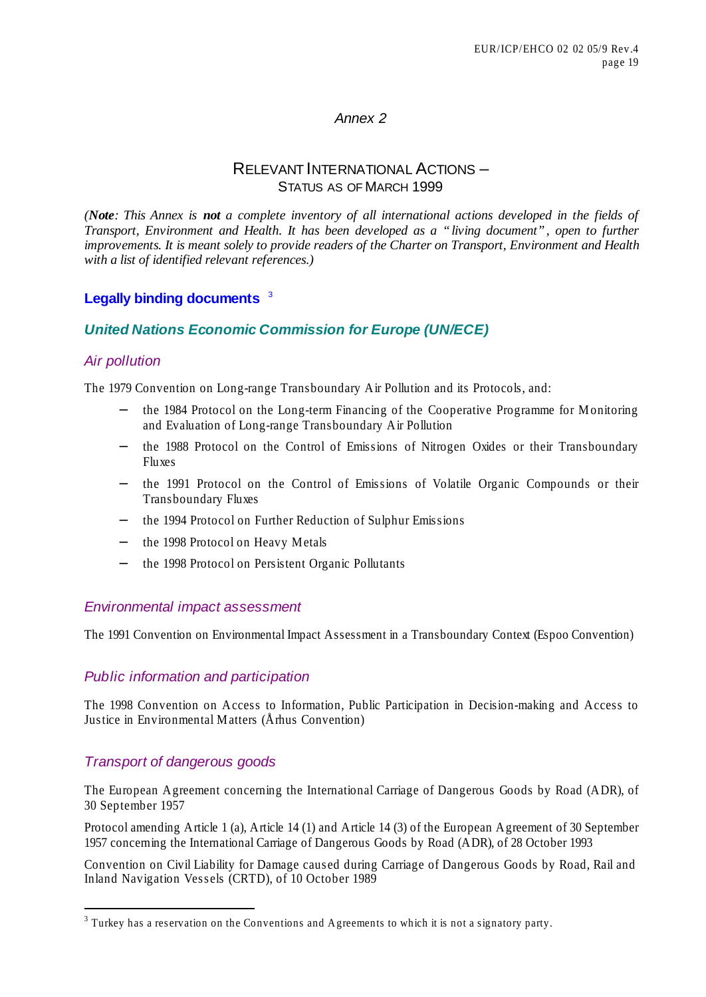#### *Annex 2*

## RELEVANT INTERNATIONAL ACTIONS – STATUS AS OF MARCH 1999

*(Note: This Annex is not a complete inventory of all international actions developed in the fields of Transport, Environment and Health. It has been developed as a "living document", open to further improvements. It is meant solely to provide readers of the Charter on Transport, Environment and Health with a list of identified relevant references.)*

## **Legally binding documents** <sup>3</sup>

## *United Nations Economic Commission for Europe (UN/ECE)*

### *Air pollution*

The 1979 Convention on Long-range Transboundary Air Pollution and its Protocols, and:

- the 1984 Protocol on the Long-term Financing of the Cooperative Programme for Monitoring and Evaluation of Long-range Transboundary Air Pollution
- the 1988 Protocol on the Control of Emissions of Nitrogen Oxides or their Transboundary Fluxes
- − the 1991 Protocol on the Control of Emissions of Volatile Organic Compounds or their Transboundary Fluxes
- the 1994 Protocol on Further Reduction of Sulphur Emissions
- the 1998 Protocol on Heavy Metals
- − the 1998 Protocol on Persistent Organic Pollutants

#### *Environmental impact assessment*

The 1991 Convention on Environmental Impact Assessment in a Transboundary Context (Espoo Convention)

## *Public information and participation*

The 1998 Convention on Access to Information, Public Participation in Decision-making and Access to Justice in Environmental Matters (Århus Convention)

#### *Transport of dangerous goods*

 $\overline{a}$ 

The European Agreement concerning the International Carriage of Dangerous Goods by Road (ADR), of 30 September 1957

Protocol amending Article 1 (a), Article 14 (1) and Article 14 (3) of the European Agreement of 30 September 1957 concerning the International Carriage of Dangerous Goods by Road (ADR), of 28 October 1993

Convention on Civil Liability for Damage caused during Carriage of Dangerous Goods by Road, Rail and Inland Navigation Vessels (CRTD), of 10 October 1989

 $3$  Turkey has a reservation on the Conventions and Agreements to which it is not a signatory party.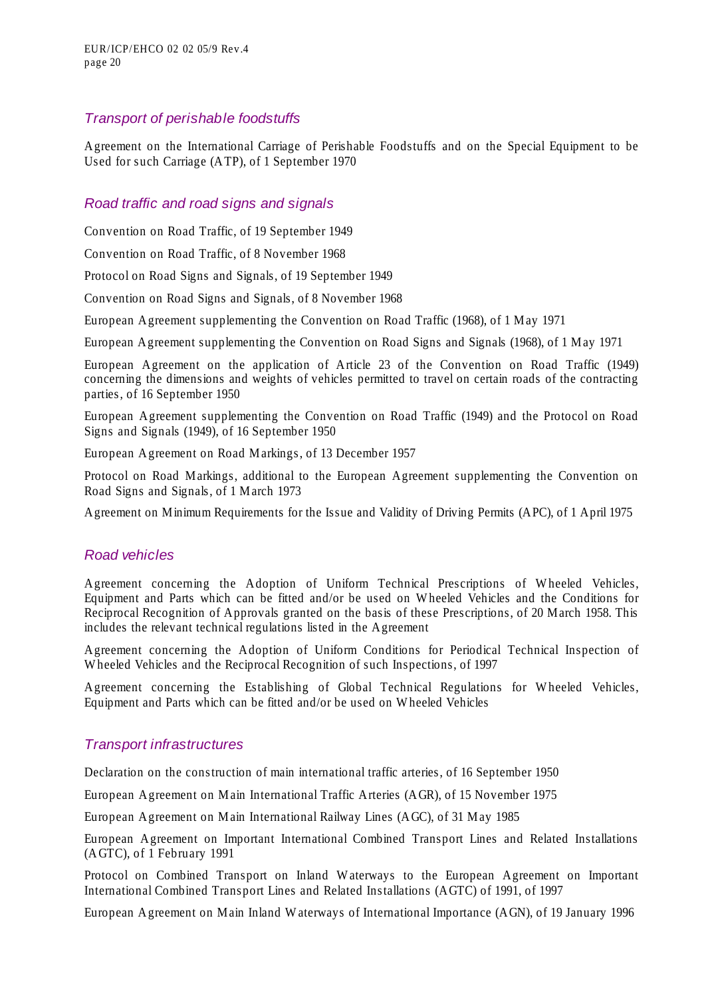## *Transport of perishable foodstuffs*

Agreement on the International Carriage of Perishable Foodstuffs and on the Special Equipment to be Used for such Carriage (ATP), of 1 September 1970

## *Road traffic and road signs and signals*

Convention on Road Traffic, of 19 September 1949

Convention on Road Traffic, of 8 November 1968

Protocol on Road Signs and Signals, of 19 September 1949

Convention on Road Signs and Signals, of 8 November 1968

European Agreement supplementing the Convention on Road Traffic (1968), of 1 May 1971

European Agreement supplementing the Convention on Road Signs and Signals (1968), of 1 May 1971

European Agreement on the application of Article 23 of the Convention on Road Traffic (1949) concerning the dimensions and weights of vehicles permitted to travel on certain roads of the contracting parties, of 16 September 1950

European Agreement supplementing the Convention on Road Traffic (1949) and the Protocol on Road Signs and Signals (1949), of 16 September 1950

European Agreement on Road Markings, of 13 December 1957

Protocol on Road Markings, additional to the European Agreement supplementing the Convention on Road Signs and Signals, of 1 March 1973

Agreement on Minimum Requirements for the Issue and Validity of Driving Permits (APC), of 1 April 1975

## *Road vehicles*

Agreement concerning the Adoption of Uniform Technical Prescriptions of Wheeled Vehicles, Equipment and Parts which can be fitted and/or be used on Wheeled Vehicles and the Conditions for Reciprocal Recognition of Approvals granted on the basis of these Prescriptions, of 20 March 1958. This includes the relevant technical regulations listed in the Agreement

Agreement concerning the Adoption of Uniform Conditions for Periodical Technical Inspection of Wheeled Vehicles and the Reciprocal Recognition of such Inspections, of 1997

Agreement concerning the Establishing of Global Technical Regulations for Wheeled Vehicles, Equipment and Parts which can be fitted and/or be used on Wheeled Vehicles

## *Transport infrastructures*

Declaration on the construction of main international traffic arteries, of 16 September 1950

European Agreement on Main International Traffic Arteries (AGR), of 15 November 1975

European Agreement on Main International Railway Lines (AGC), of 31 May 1985

European Agreement on Important International Combined Transport Lines and Related Installations (AGTC), of 1 February 1991

Protocol on Combined Transport on Inland Waterways to the European Agreement on Important International Combined Transport Lines and Related Installations (AGTC) of 1991, of 1997

European Agreement on Main Inland Waterways of International Importance (AGN), of 19 January 1996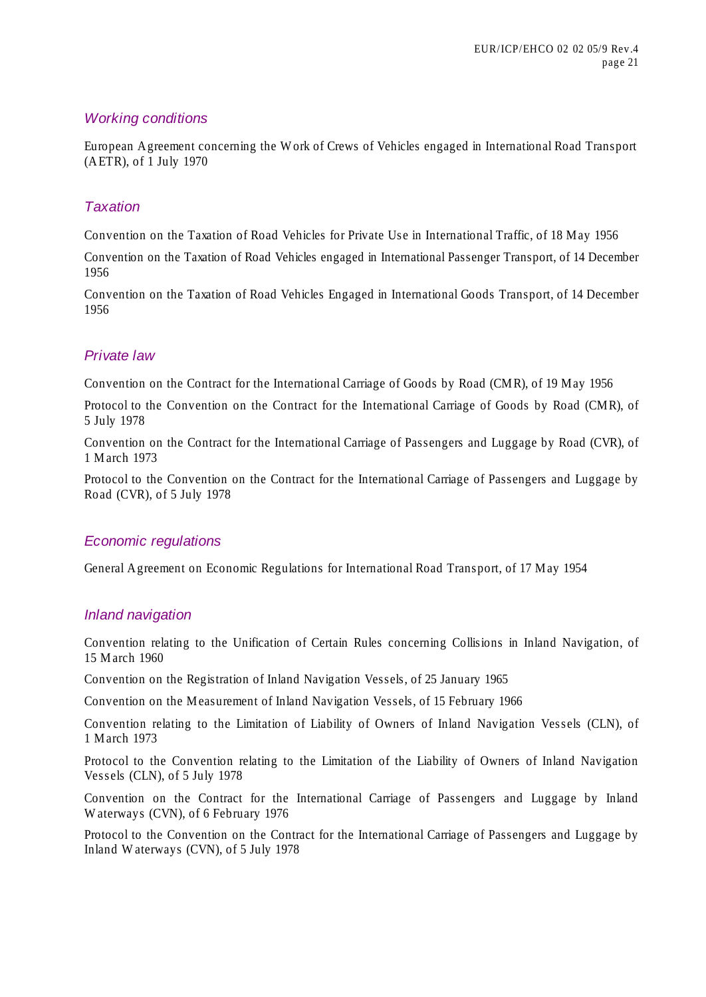### *Working conditions*

European Agreement concerning the Work of Crews of Vehicles engaged in International Road Transport (AETR), of 1 July 1970

## *Taxation*

Convention on the Taxation of Road Vehicles for Private Use in International Traffic, of 18 May 1956

Convention on the Taxation of Road Vehicles engaged in International Passenger Transport, of 14 December 1956

Convention on the Taxation of Road Vehicles Engaged in International Goods Transport, of 14 December 1956

## *Private law*

Convention on the Contract for the International Carriage of Goods by Road (CMR), of 19 May 1956

Protocol to the Convention on the Contract for the International Carriage of Goods by Road (CMR), of 5 July 1978

Convention on the Contract for the International Carriage of Passengers and Luggage by Road (CVR), of 1 March 1973

Protocol to the Convention on the Contract for the International Carriage of Passengers and Luggage by Road (CVR), of 5 July 1978

## *Economic regulations*

General Agreement on Economic Regulations for International Road Transport, of 17 May 1954

## *Inland navigation*

Convention relating to the Unification of Certain Rules concerning Collisions in Inland Navigation, of 15 March 1960

Convention on the Registration of Inland Navigation Vessels, of 25 January 1965

Convention on the Measurement of Inland Navigation Vessels, of 15 February 1966

Convention relating to the Limitation of Liability of Owners of Inland Navigation Vessels (CLN), of 1 March 1973

Protocol to the Convention relating to the Limitation of the Liability of Owners of Inland Navigation Vessels (CLN), of 5 July 1978

Convention on the Contract for the International Carriage of Passengers and Luggage by Inland Waterways (CVN), of 6 February 1976

Protocol to the Convention on the Contract for the International Carriage of Passengers and Luggage by Inland Waterways (CVN), of 5 July 1978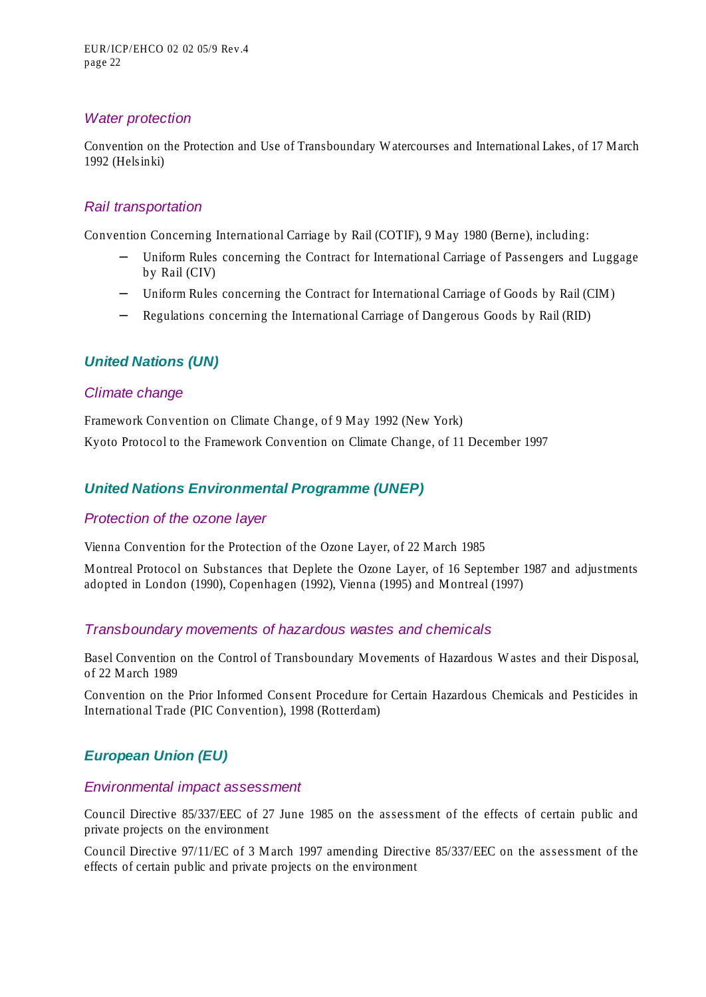## *Water protection*

Convention on the Protection and Use of Transboundary Watercourses and International Lakes, of 17 March 1992 (Helsinki)

## *Rail transportation*

Convention Concerning International Carriage by Rail (COTIF), 9 May 1980 (Berne), including:

- Uniform Rules concerning the Contract for International Carriage of Passengers and Luggage by Rail (CIV)
- − Uniform Rules concerning the Contract for International Carriage of Goods by Rail (CIM)
- − Regulations concerning the International Carriage of Dangerous Goods by Rail (RID)

## *United Nations (UN)*

#### *Climate change*

Framework Convention on Climate Change, of 9 May 1992 (New York) Kyoto Protocol to the Framework Convention on Climate Change, of 11 December 1997

## *United Nations Environmental Programme (UNEP)*

## *Protection of the ozone layer*

Vienna Convention for the Protection of the Ozone Layer, of 22 March 1985

Montreal Protocol on Substances that Deplete the Ozone Layer, of 16 September 1987 and adjustments adopted in London (1990), Copenhagen (1992), Vienna (1995) and Montreal (1997)

## *Transboundary movements of hazardous wastes and chemicals*

Basel Convention on the Control of Transboundary Movements of Hazardous Wastes and their Disposal, of 22 March 1989

Convention on the Prior Informed Consent Procedure for Certain Hazardous Chemicals and Pesticides in International Trade (PIC Convention), 1998 (Rotterdam)

## *European Union (EU)*

#### *Environmental impact assessment*

Council Directive 85/337/EEC of 27 June 1985 on the assessment of the effects of certain public and private projects on the environment

Council Directive 97/11/EC of 3 March 1997 amending Directive 85/337/EEC on the assessment of the effects of certain public and private projects on the environment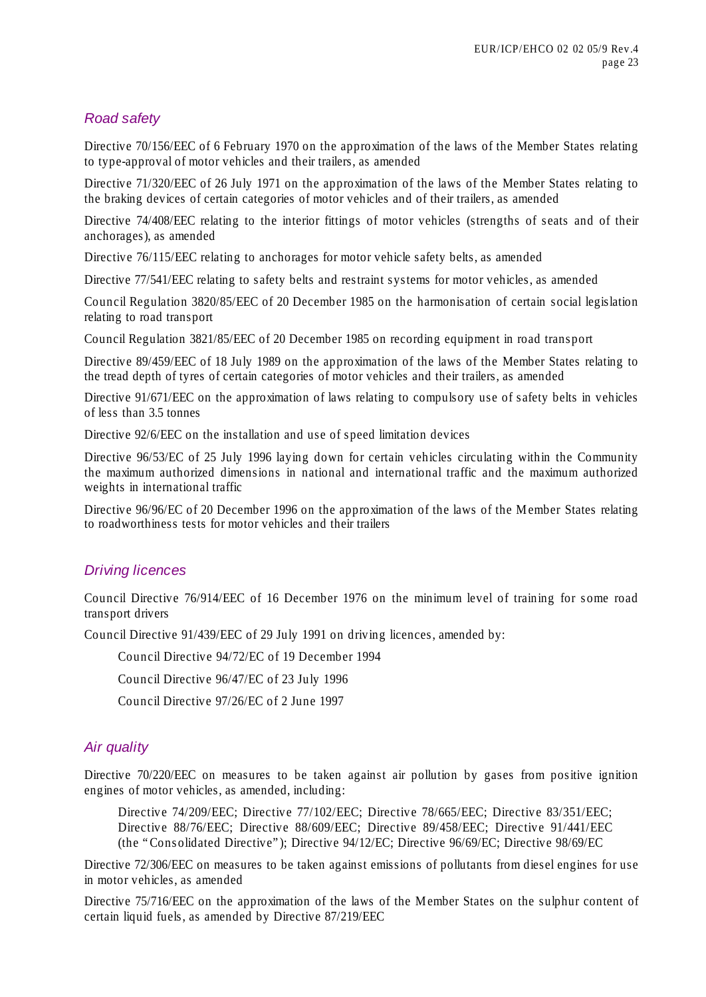## *Road safety*

Directive 70/156/EEC of 6 February 1970 on the approximation of the laws of the Member States relating to type-approval of motor vehicles and their trailers, as amended

Directive 71/320/EEC of 26 July 1971 on the approximation of the laws of the Member States relating to the braking devices of certain categories of motor vehicles and of their trailers, as amended

Directive 74/408/EEC relating to the interior fittings of motor vehicles (strengths of seats and of their anchorages), as amended

Directive 76/115/EEC relating to anchorages for motor vehicle safety belts, as amended

Directive 77/541/EEC relating to safety belts and restraint systems for motor vehicles, as amended

Council Regulation 3820/85/EEC of 20 December 1985 on the harmonisation of certain social legislation relating to road transport

Council Regulation 3821/85/EEC of 20 December 1985 on recording equipment in road transport

Directive 89/459/EEC of 18 July 1989 on the approximation of the laws of the Member States relating to the tread depth of tyres of certain categories of motor vehicles and their trailers, as amended

Directive 91/671/EEC on the approximation of laws relating to compulsory use of safety belts in vehicles of less than 3.5 tonnes

Directive 92/6/EEC on the installation and use of speed limitation devices

Directive 96/53/EC of 25 July 1996 laying down for certain vehicles circulating within the Community the maximum authorized dimensions in national and international traffic and the maximum authorized weights in international traffic

Directive 96/96/EC of 20 December 1996 on the approximation of the laws of the Member States relating to roadworthiness tests for motor vehicles and their trailers

#### *Driving licences*

Council Directive 76/914/EEC of 16 December 1976 on the minimum level of training for some road transport drivers

Council Directive 91/439/EEC of 29 July 1991 on driving licences, amended by:

Council Directive 94/72/EC of 19 December 1994

Council Directive 96/47/EC of 23 July 1996

Council Directive 97/26/EC of 2 June 1997

#### *Air quality*

Directive 70/220/EEC on measures to be taken against air pollution by gases from positive ignition engines of motor vehicles, as amended, including:

Directive 74/209/EEC; Directive 77/102/EEC; Directive 78/665/EEC; Directive 83/351/EEC; Directive 88/76/EEC; Directive 88/609/EEC; Directive 89/458/EEC; Directive 91/441/EEC (the "Consolidated Directive"); Directive 94/12/EC; Directive 96/69/EC; Directive 98/69/EC

Directive 72/306/EEC on measures to be taken against emissions of pollutants from diesel engines for use in motor vehicles, as amended

Directive 75/716/EEC on the approximation of the laws of the Member States on the sulphur content of certain liquid fuels, as amended by Directive 87/219/EEC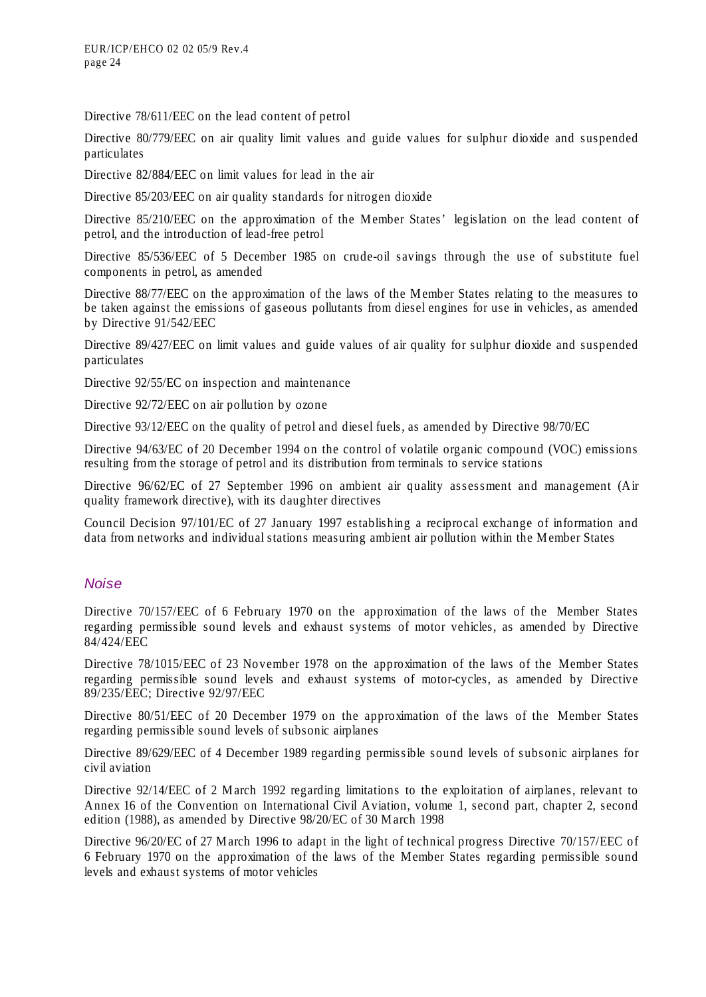Directive 78/611/EEC on the lead content of petrol

Directive 80/779/EEC on air quality limit values and guide values for sulphur dioxide and suspended particulates

Directive 82/884/EEC on limit values for lead in the air

Directive 85/203/EEC on air quality standards for nitrogen dioxide

Directive 85/210/EEC on the approximation of the Member States' legislation on the lead content of petrol, and the introduction of lead-free petrol

Directive 85/536/EEC of 5 December 1985 on crude-oil savings through the use of substitute fuel components in petrol, as amended

Directive 88/77/EEC on the approximation of the laws of the Member States relating to the measures to be taken against the emissions of gaseous pollutants from diesel engines for use in vehicles, as amended by Directive 91/542/EEC

Directive 89/427/EEC on limit values and guide values of air quality for sulphur dioxide and suspended particulates

Directive 92/55/EC on inspection and maintenance

Directive 92/72/EEC on air pollution by ozone

Directive 93/12/EEC on the quality of petrol and diesel fuels, as amended by Directive 98/70/EC

Directive 94/63/EC of 20 December 1994 on the control of volatile organic compound (VOC) emissions resulting from the storage of petrol and its distribution from terminals to service stations

Directive 96/62/EC of 27 September 1996 on ambient air quality assessment and management (Air quality framework directive), with its daughter directives

Council Decision 97/101/EC of 27 January 1997 establishing a reciprocal exchange of information and data from networks and individual stations measuring ambient air pollution within the Member States

#### *Noise*

Directive 70/157/EEC of 6 February 1970 on the approximation of the laws of the Member States regarding permissible sound levels and exhaust systems of motor vehicles, as amended by Directive 84/424/EEC

Directive 78/1015/EEC of 23 November 1978 on the approximation of the laws of the Member States regarding permissible sound levels and exhaust systems of motor-cycles, as amended by Directive 89/235/EEC; Directive 92/97/EEC

Directive 80/51/EEC of 20 December 1979 on the approximation of the laws of the Member States regarding permissible sound levels of subsonic airplanes

Directive 89/629/EEC of 4 December 1989 regarding permissible sound levels of subsonic airplanes for civil aviation

Directive 92/14/EEC of 2 March 1992 regarding limitations to the exploitation of airplanes, relevant to Annex 16 of the Convention on International Civil Aviation, volume 1, second part, chapter 2, second edition (1988), as amended by Directive 98/20/EC of 30 March 1998

Directive 96/20/EC of 27 March 1996 to adapt in the light of technical progress Directive 70/157/EEC of 6 February 1970 on the approximation of the laws of the Member States regarding permissible sound levels and exhaust systems of motor vehicles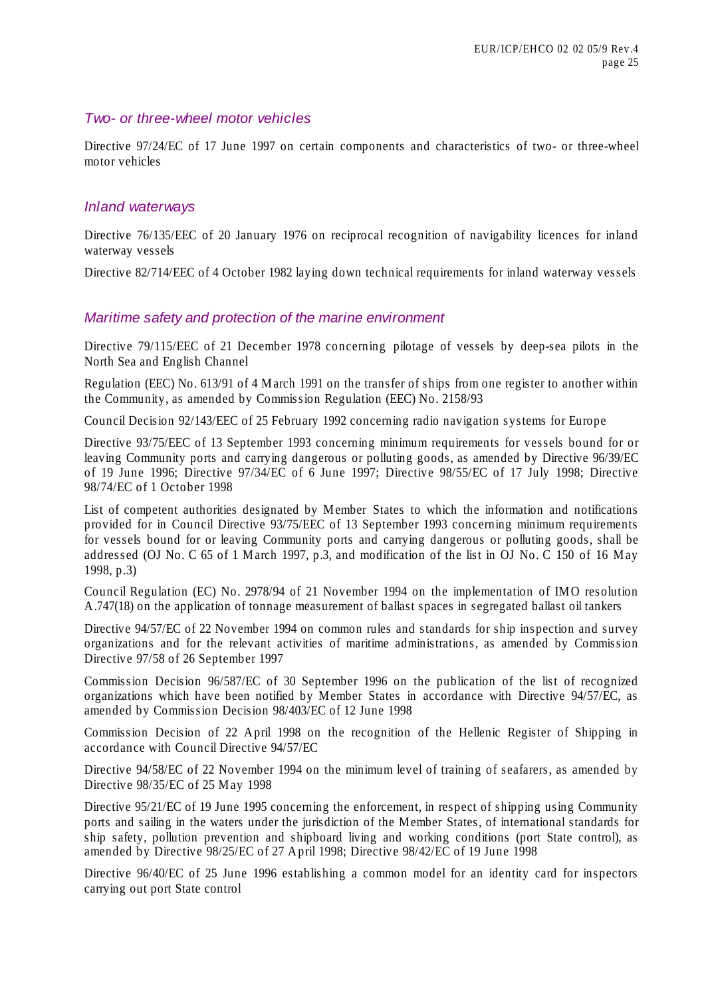#### *Two- or three-wheel motor vehicles*

Directive 97/24/EC of 17 June 1997 on certain components and characteristics of two- or three-wheel motor vehicles

#### *Inland waterways*

Directive 76/135/EEC of 20 January 1976 on reciprocal recognition of navigability licences for inland waterway vessels

Directive 82/714/EEC of 4 October 1982 laying down technical requirements for inland waterway vessels

#### *Maritime safety and protection of the marine environment*

Directive 79/115/EEC of 21 December 1978 concerning pilotage of vessels by deep-sea pilots in the North Sea and English Channel

Regulation (EEC) No. 613/91 of 4 March 1991 on the transfer of ships from one register to another within the Community, as amended by Commission Regulation (EEC) No. 2158/93

Council Decision 92/143/EEC of 25 February 1992 concerning radio navigation systems for Europe

Directive 93/75/EEC of 13 September 1993 concerning minimum requirements for vessels bound for or leaving Community ports and carrying dangerous or polluting goods, as amended by Directive 96/39/EC of 19 June 1996; Directive 97/34/EC of 6 June 1997; Directive 98/55/EC of 17 July 1998; Directive 98/74/EC of 1 October 1998

List of competent authorities designated by Member States to which the information and notifications provided for in Council Directive 93/75/EEC of 13 September 1993 concerning minimum requirements for vessels bound for or leaving Community ports and carrying dangerous or polluting goods, shall be addressed (OJ No. C 65 of 1 March 1997, p.3, and modification of the list in OJ No. C 150 of 16 May 1998, p.3)

Council Regulation (EC) No. 2978/94 of 21 November 1994 on the implementation of IMO resolution A.747(18) on the application of tonnage measurement of ballast spaces in segregated ballast oil tankers

Directive 94/57/EC of 22 November 1994 on common rules and standards for ship inspection and survey organizations and for the relevant activities of maritime administrations, as amended by Commission Directive 97/58 of 26 September 1997

Commission Decision 96/587/EC of 30 September 1996 on the publication of the list of recognized organizations which have been notified by Member States in accordance with Directive 94/57/EC, as amended by Commission Decision 98/403/EC of 12 June 1998

Commission Decision of 22 April 1998 on the recognition of the Hellenic Register of Shipping in accordance with Council Directive 94/57/EC

Directive 94/58/EC of 22 November 1994 on the minimum level of training of seafarers, as amended by Directive 98/35/EC of 25 May 1998

Directive 95/21/EC of 19 June 1995 concerning the enforcement, in respect of shipping using Community ports and sailing in the waters under the jurisdiction of the Member States, of international standards for ship safety, pollution prevention and shipboard living and working conditions (port State control), as amended by Directive 98/25/EC of 27 April 1998; Directive 98/42/EC of 19 June 1998

Directive 96/40/EC of 25 June 1996 establishing a common model for an identity card for inspectors carrying out port State control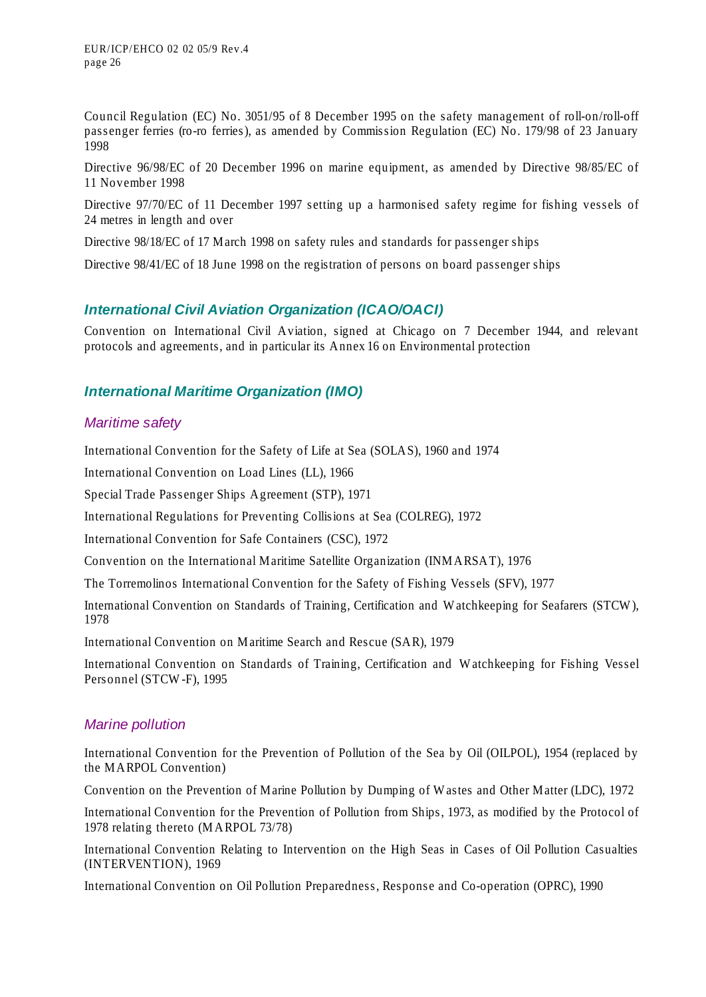Council Regulation (EC) No. 3051/95 of 8 December 1995 on the safety management of roll-on/roll-off passenger ferries (ro-ro ferries), as amended by Commission Regulation (EC) No. 179/98 of 23 January 1998

Directive 96/98/EC of 20 December 1996 on marine equipment, as amended by Directive 98/85/EC of 11 November 1998

Directive 97/70/EC of 11 December 1997 setting up a harmonised safety regime for fishing vessels of 24 metres in length and over

Directive 98/18/EC of 17 March 1998 on safety rules and standards for passenger ships

Directive 98/41/EC of 18 June 1998 on the registration of persons on board passenger ships

## *International Civil Aviation Organization (ICAO/OACI)*

Convention on International Civil Aviation, signed at Chicago on 7 December 1944, and relevant protocols and agreements, and in particular its Annex 16 on Environmental protection

## *International Maritime Organization (IMO)*

### *Maritime safety*

International Convention for the Safety of Life at Sea (SOLAS), 1960 and 1974

International Convention on Load Lines (LL), 1966

Special Trade Passenger Ships Agreement (STP), 1971

International Regulations for Preventing Collisions at Sea (COLREG), 1972

International Convention for Safe Containers (CSC), 1972

Convention on the International Maritime Satellite Organization (INMARSAT), 1976

The Torremolinos International Convention for the Safety of Fishing Vessels (SFV), 1977

International Convention on Standards of Training, Certification and Watchkeeping for Seafarers (STCW), 1978

International Convention on Maritime Search and Rescue (SAR), 1979

International Convention on Standards of Training, Certification and Watchkeeping for Fishing Vessel Personnel (STCW-F), 1995

## *Marine pollution*

International Convention for the Prevention of Pollution of the Sea by Oil (OILPOL), 1954 (replaced by the MARPOL Convention)

Convention on the Prevention of Marine Pollution by Dumping of Wastes and Other Matter (LDC), 1972

International Convention for the Prevention of Pollution from Ships, 1973, as modified by the Protocol of 1978 relating thereto (MARPOL 73/78)

International Convention Relating to Intervention on the High Seas in Cases of Oil Pollution Casualties (INTERVENTION), 1969

International Convention on Oil Pollution Preparedness, Response and Co-operation (OPRC), 1990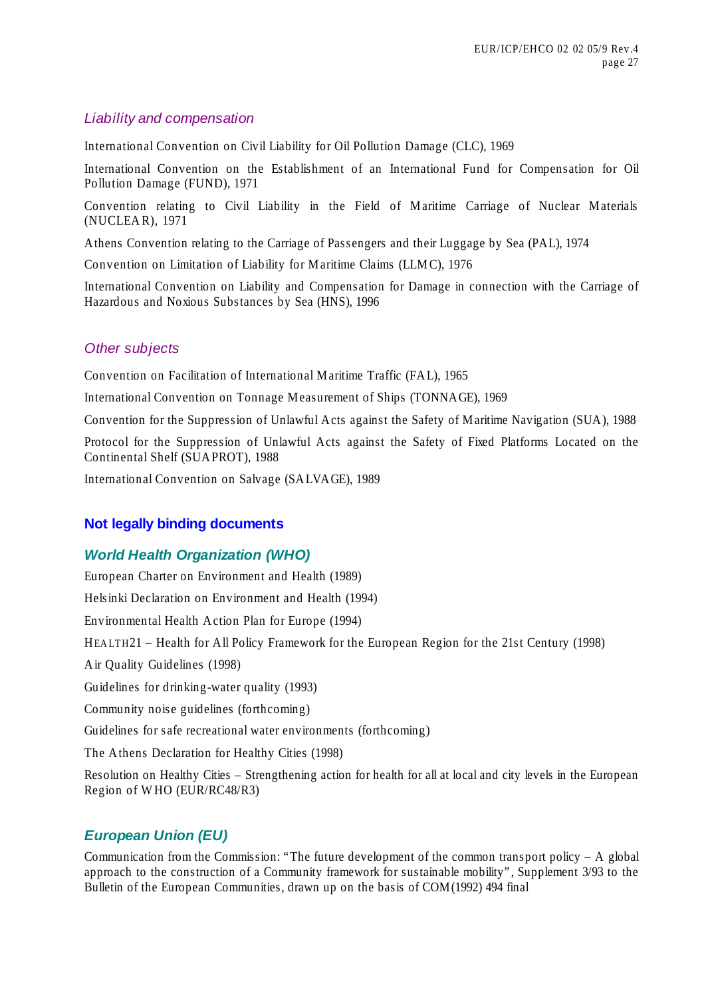## *Liability and compensation*

International Convention on Civil Liability for Oil Pollution Damage (CLC), 1969

International Convention on the Establishment of an International Fund for Compensation for Oil Pollution Damage (FUND), 1971

Convention relating to Civil Liability in the Field of Maritime Carriage of Nuclear Materials (NUCLEAR), 1971

Athens Convention relating to the Carriage of Passengers and their Luggage by Sea (PAL), 1974

Convention on Limitation of Liability for Maritime Claims (LLMC), 1976

International Convention on Liability and Compensation for Damage in connection with the Carriage of Hazardous and Noxious Substances by Sea (HNS), 1996

## *Other subjects*

Convention on Facilitation of International Maritime Traffic (FAL), 1965

International Convention on Tonnage Measurement of Ships (TONNAGE), 1969

Convention for the Suppression of Unlawful Acts against the Safety of Maritime Navigation (SUA), 1988

Protocol for the Suppression of Unlawful Acts against the Safety of Fixed Platforms Located on the Continental Shelf (SUAPROT), 1988

International Convention on Salvage (SALVAGE), 1989

## **Not legally binding documents**

## *World Health Organization (WHO)*

European Charter on Environment and Health (1989) Helsinki Declaration on Environment and Health (1994) Environmental Health Action Plan for Europe (1994) HEALTH21 – Health for All Policy Framework for the European Region for the 21st Century (1998) Air Quality Guidelines (1998) Guidelines for drinking-water quality (1993) Community noise guidelines (forthcoming) Guidelines for safe recreational water environments (forthcoming) The Athens Declaration for Healthy Cities (1998) Resolution on Healthy Cities – Strengthening action for health for all at local and city levels in the European Region of WHO (EUR/RC48/R3)

## *European Union (EU)*

Communication from the Commission: "The future development of the common transport policy  $- A$  global approach to the construction of a Community framework for sustainable mobility", Supplement 3/93 to the Bulletin of the European Communities, drawn up on the basis of COM(1992) 494 final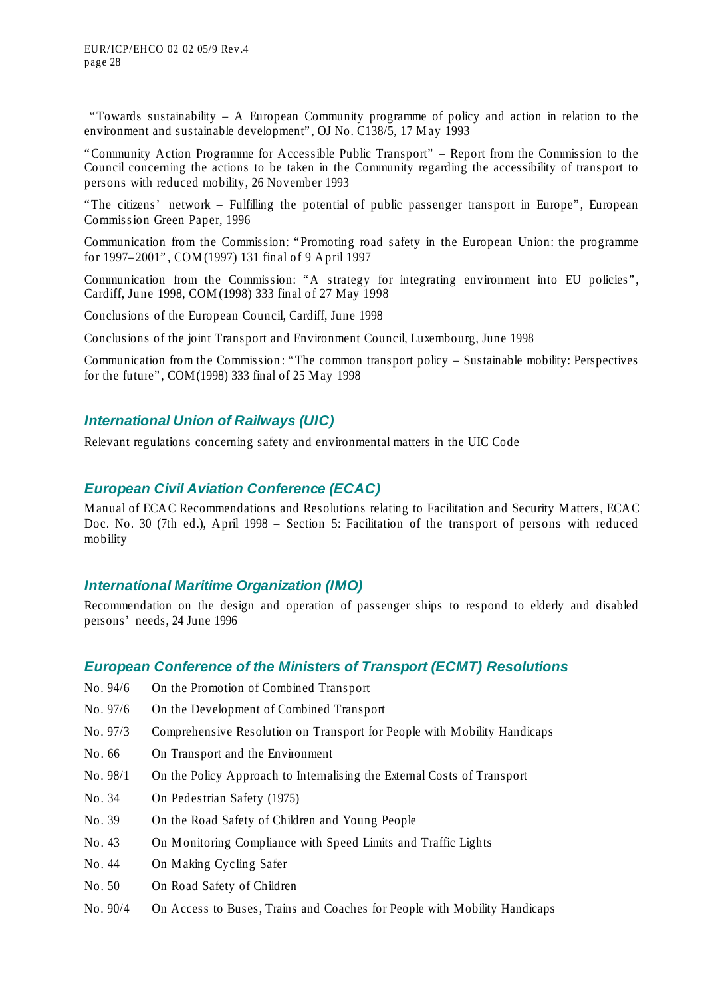"Towards sustainability – A European Community programme of policy and action in relation to the environment and sustainable development", OJ No. C138/5, 17 May 1993

"Community Action Programme for Accessible Public Transport" – Report from the Commission to the Council concerning the actions to be taken in the Community regarding the accessibility of transport to persons with reduced mobility, 26 November 1993

"The citizens' network – Fulfilling the potential of public passenger transport in Europe", European Commission Green Paper, 1996

Communication from the Commission: "Promoting road safety in the European Union: the programme for 1997–2001", COM(1997) 131 final of 9 April 1997

Communication from the Commission: "A strategy for integrating environment into EU policies", Cardiff, June 1998, COM(1998) 333 final of 27 May 1998

Conclusions of the European Council, Cardiff, June 1998

Conclusions of the joint Transport and Environment Council, Luxembourg, June 1998

Communication from the Commission: "The common transport policy – Sustainable mobility: Perspectives for the future", COM(1998) 333 final of 25 May 1998

## *International Union of Railways (UIC)*

Relevant regulations concerning safety and environmental matters in the UIC Code

### *European Civil Aviation Conference (ECAC)*

Manual of ECAC Recommendations and Resolutions relating to Facilitation and Security Matters, ECAC Doc. No. 30 (7th ed.), April 1998 – Section 5: Facilitation of the transport of persons with reduced mobility

#### *International Maritime Organization (IMO)*

Recommendation on the design and operation of passenger ships to respond to elderly and disabled persons' needs, 24 June 1996

#### *European Conference of the Ministers of Transport (ECMT) Resolutions*

- No. 94/6 On the Promotion of Combined Transport
- No. 97/6 On the Development of Combined Transport
- No. 97/3 Comprehensive Resolution on Transport for People with Mobility Handicaps
- No. 66 On Transport and the Environment
- No. 98/1 On the Policy Approach to Internalising the External Costs of Transport
- No. 34 On Pedestrian Safety (1975)
- No. 39 On the Road Safety of Children and Young People
- No. 43 On Monitoring Compliance with Speed Limits and Traffic Lights
- No. 44 On Making Cycling Safer
- No. 50 On Road Safety of Children
- No. 90/4 On Access to Buses, Trains and Coaches for People with Mobility Handicaps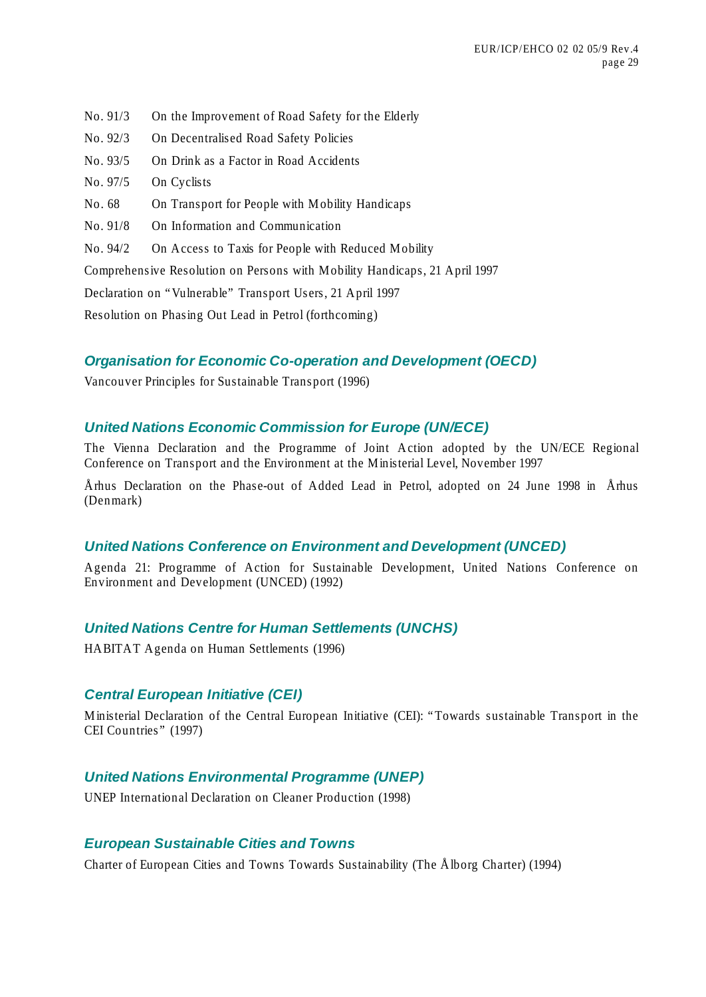- No. 91/3 On the Improvement of Road Safety for the Elderly
- No. 92/3 On Decentralised Road Safety Policies
- No. 93/5 On Drink as a Factor in Road Accidents
- No. 97/5 On Cyclists
- No. 68 On Transport for People with Mobility Handicaps
- No. 91/8 On Information and Communication
- No. 94/2 On Access to Taxis for People with Reduced Mobility

Comprehensive Resolution on Persons with Mobility Handicaps, 21 April 1997

Declaration on "Vulnerable" Transport Users, 21 April 1997

Resolution on Phasing Out Lead in Petrol (forthcoming)

## *Organisation for Economic Co-operation and Development (OECD)*

Vancouver Principles for Sustainable Transport (1996)

## *United Nations Economic Commission for Europe (UN/ECE)*

The Vienna Declaration and the Programme of Joint Action adopted by the UN/ECE Regional Conference on Transport and the Environment at the Ministerial Level, November 1997

Århus Declaration on the Phase-out of Added Lead in Petrol, adopted on 24 June 1998 in Århus (Denmark)

#### *United Nations Conference on Environment and Development (UNCED)*

Agenda 21: Programme of Action for Sustainable Development, United Nations Conference on Environment and Development (UNCED) (1992)

## *United Nations Centre for Human Settlements (UNCHS)*

HABITAT Agenda on Human Settlements (1996)

## *Central European Initiative (CEI)*

Ministerial Declaration of the Central European Initiative (CEI): "Towards sustainable Transport in the CEI Countries" (1997)

## *United Nations Environmental Programme (UNEP)*

UNEP International Declaration on Cleaner Production (1998)

#### *European Sustainable Cities and Towns*

Charter of European Cities and Towns Towards Sustainability (The Ålborg Charter) (1994)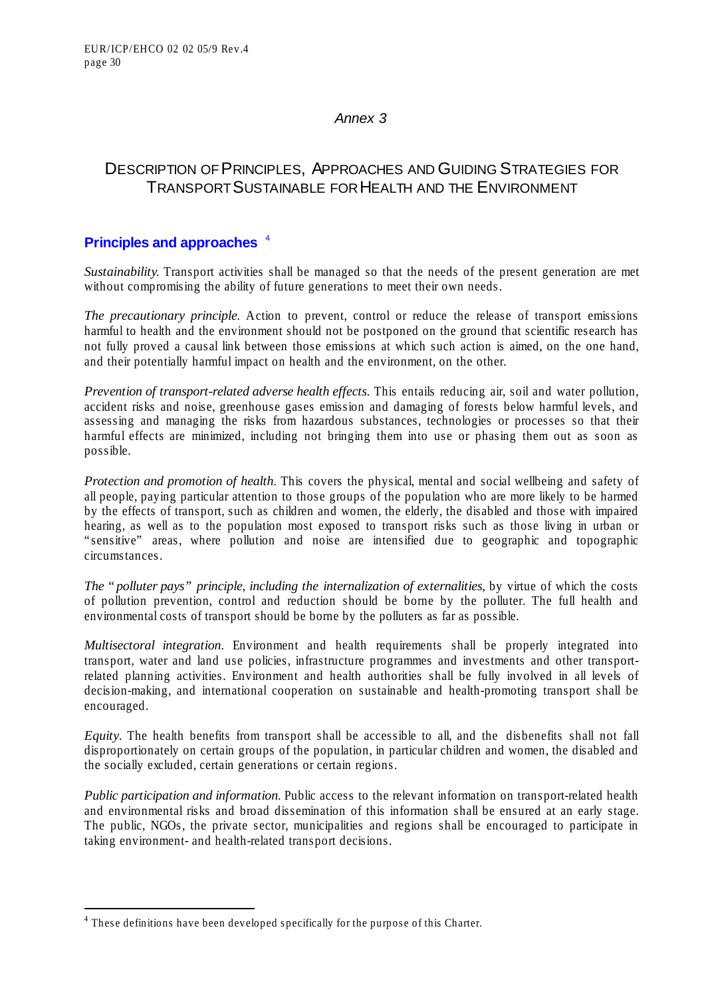### *Annex 3*

## DESCRIPTION OF PRINCIPLES, APPROACHES AND GUIDING STRATEGIES FOR TRANSPORT SUSTAINABLE FOR HEALTH AND THE ENVIRONMENT

## **Principles and approaches** <sup>4</sup>

*Sustainability*. Transport activities shall be managed so that the needs of the present generation are met without compromising the ability of future generations to meet their own needs.

*The precautionary principle*. Action to prevent, control or reduce the release of transport emissions harmful to health and the environment should not be postponed on the ground that scientific research has not fully proved a causal link between those emissions at which such action is aimed, on the one hand, and their potentially harmful impact on health and the environment, on the other.

*Prevention of transport-related adverse health effects*. This entails reducing air, soil and water pollution, accident risks and noise, greenhouse gases emission and damaging of forests below harmful levels, and assessing and managing the risks from hazardous substances, technologies or processes so that their harmful effects are minimized, including not bringing them into use or phasing them out as soon as possible.

*Protection and promotion of health*. This covers the physical, mental and social wellbeing and safety of all people, paying particular attention to those groups of the population who are more likely to be harmed by the effects of transport, such as children and women, the elderly, the disabled and those with impaired hearing, as well as to the population most exposed to transport risks such as those living in urban or "sensitive" areas, where pollution and noise are intensified due to geographic and topographic circumstances.

*The "polluter pays" principle*, *including the internalization of externalities*, by virtue of which the costs of pollution prevention, control and reduction should be borne by the polluter. The full health and environmental costs of transport should be borne by the polluters as far as possible.

*Multisectoral integration*. Environment and health requirements shall be properly integrated into transport, water and land use policies, infrastructure programmes and investments and other transportrelated planning activities. Environment and health authorities shall be fully involved in all levels of decision-making, and international cooperation on sustainable and health-promoting transport shall be encouraged.

*Equity*. The health benefits from transport shall be accessible to all, and the disbenefits shall not fall disproportionately on certain groups of the population, in particular children and women, the disabled and the socially excluded, certain generations or certain regions.

*Public participation and information*. Public access to the relevant information on transport-related health and environmental risks and broad dissemination of this information shall be ensured at an early stage. The public, NGOs, the private sector, municipalities and regions shall be encouraged to participate in taking environment- and health-related transport decisions.

 $\overline{a}$ 

 $4$  These definitions have been developed specifically for the purpose of this Charter.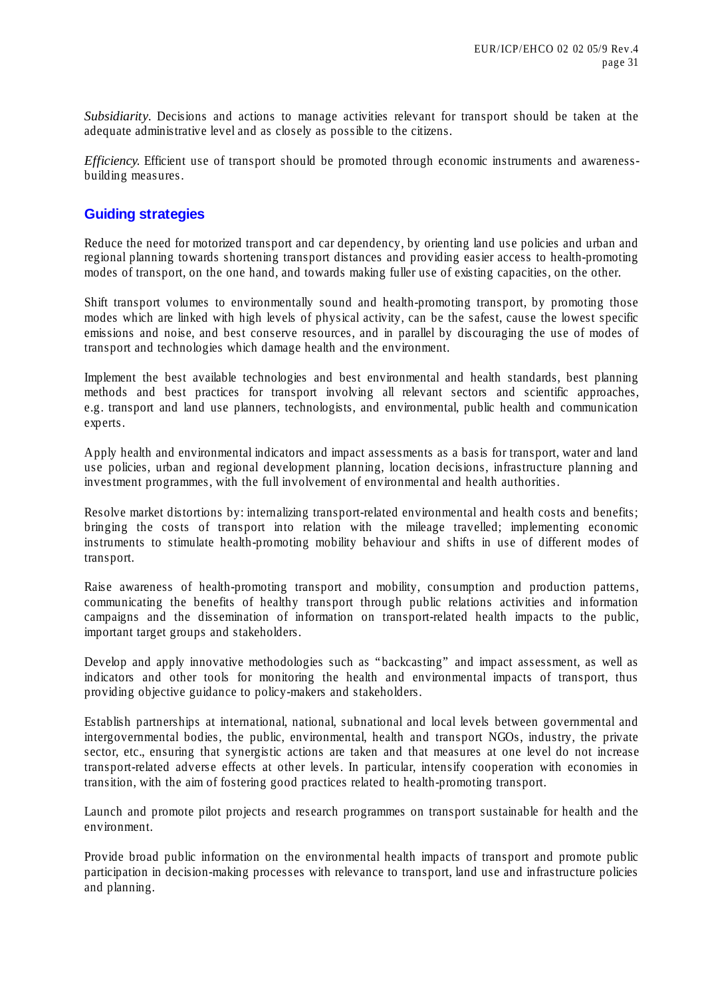*Subsidiarity*. Decisions and actions to manage activities relevant for transport should be taken at the adequate administrative level and as closely as possible to the citizens.

*Efficiency*. Efficient use of transport should be promoted through economic instruments and awarenessbuilding measures.

### **Guiding strategies**

Reduce the need for motorized transport and car dependency, by orienting land use policies and urban and regional planning towards shortening transport distances and providing easier access to health-promoting modes of transport, on the one hand, and towards making fuller use of existing capacities, on the other.

Shift transport volumes to environmentally sound and health-promoting transport, by promoting those modes which are linked with high levels of physical activity, can be the safest, cause the lowest specific emissions and noise, and best conserve resources, and in parallel by discouraging the use of modes of transport and technologies which damage health and the environment.

Implement the best available technologies and best environmental and health standards, best planning methods and best practices for transport involving all relevant sectors and scientific approaches, e.g. transport and land use planners, technologists, and environmental, public health and communication experts.

Apply health and environmental indicators and impact assessments as a basis for transport, water and land use policies, urban and regional development planning, location decisions, infrastructure planning and investment programmes, with the full involvement of environmental and health authorities.

Resolve market distortions by: internalizing transport-related environmental and health costs and benefits; bringing the costs of transport into relation with the mileage travelled; implementing economic instruments to stimulate health-promoting mobility behaviour and shifts in use of different modes of transport.

Raise awareness of health-promoting transport and mobility, consumption and production patterns, communicating the benefits of healthy transport through public relations activities and information campaigns and the dissemination of information on transport-related health impacts to the public, important target groups and stakeholders.

Develop and apply innovative methodologies such as "backcasting" and impact assessment, as well as indicators and other tools for monitoring the health and environmental impacts of transport, thus providing objective guidance to policy-makers and stakeholders.

Establish partnerships at international, national, subnational and local levels between governmental and intergovernmental bodies, the public, environmental, health and transport NGOs, industry, the private sector, etc., ensuring that synergistic actions are taken and that measures at one level do not increase transport-related adverse effects at other levels. In particular, intensify cooperation with economies in transition, with the aim of fostering good practices related to health-promoting transport.

Launch and promote pilot projects and research programmes on transport sustainable for health and the environment.

Provide broad public information on the environmental health impacts of transport and promote public participation in decision-making processes with relevance to transport, land use and infrastructure policies and planning.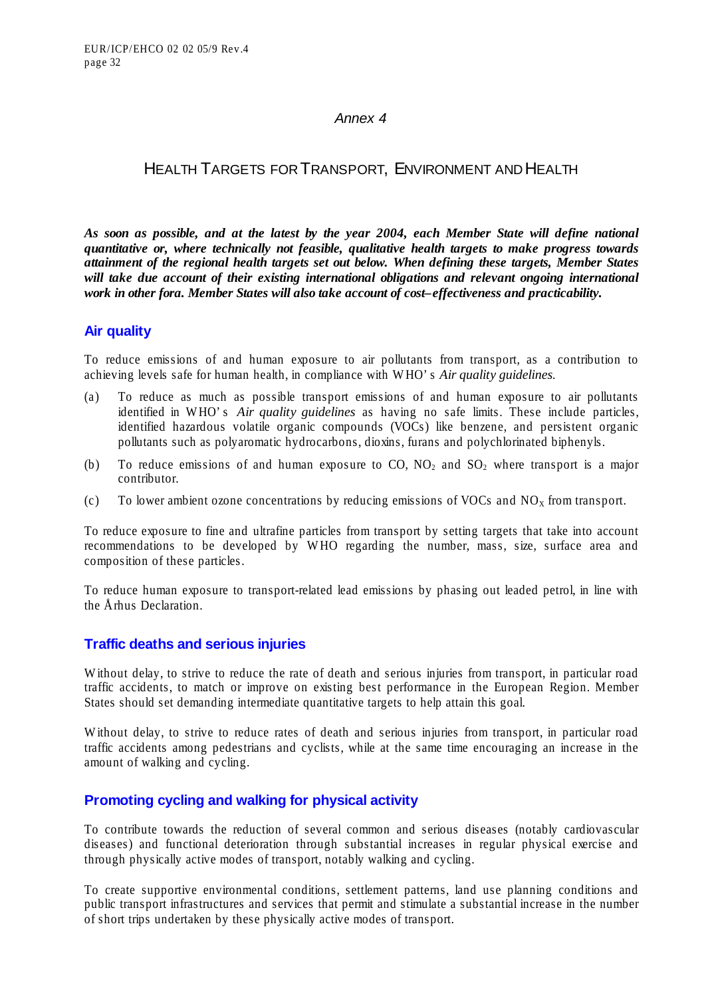#### *Annex 4*

## HEALTH TARGETS FOR TRANSPORT, ENVIRONMENT AND HEALTH

*As soon as possible, and at the latest by the year 2004, each Member State will define national quantitative or, where technically not feasible, qualitative health targets to make progress towards attainment of the regional health targets set out below. When defining these targets, Member States will take due account of their existing international obligations and relevant ongoing international work in other fora. Member States will also take account of cost–effectiveness and practicability.*

#### **Air quality**

To reduce emissions of and human exposure to air pollutants from transport, as a contribution to achieving levels safe for human health, in compliance with WHO's *Air quality guidelines*.

- (a) To reduce as much as possible transport emissions of and human exposure to air pollutants identified in WHO's *Air quality guidelines* as having no safe limits. These include particles, identified hazardous volatile organic compounds (VOCs) like benzene, and persistent organic pollutants such as polyaromatic hydrocarbons, dioxins, furans and polychlorinated biphenyls.
- (b) To reduce emissions of and human exposure to  $CO$ ,  $NO<sub>2</sub>$  and  $SO<sub>2</sub>$  where transport is a major contributor.
- (c) To lower ambient ozone concentrations by reducing emissions of VOCs and  $NO<sub>x</sub>$  from transport.

To reduce exposure to fine and ultrafine particles from transport by setting targets that take into account recommendations to be developed by WHO regarding the number, mass, size, surface area and composition of these particles.

To reduce human exposure to transport-related lead emissions by phasing out leaded petrol, in line with the Århus Declaration.

#### **Traffic deaths and serious injuries**

Without delay, to strive to reduce the rate of death and serious injuries from transport, in particular road traffic accidents, to match or improve on existing best performance in the European Region. Member States should set demanding intermediate quantitative targets to help attain this goal.

Without delay, to strive to reduce rates of death and serious injuries from transport, in particular road traffic accidents among pedestrians and cyclists, while at the same time encouraging an increase in the amount of walking and cycling.

#### **Promoting cycling and walking for physical activity**

To contribute towards the reduction of several common and serious diseases (notably cardiovascular diseases) and functional deterioration through substantial increases in regular physical exercise and through physically active modes of transport, notably walking and cycling.

To create supportive environmental conditions, settlement patterns, land use planning conditions and public transport infrastructures and services that permit and stimulate a substantial increase in the number of short trips undertaken by these physically active modes of transport.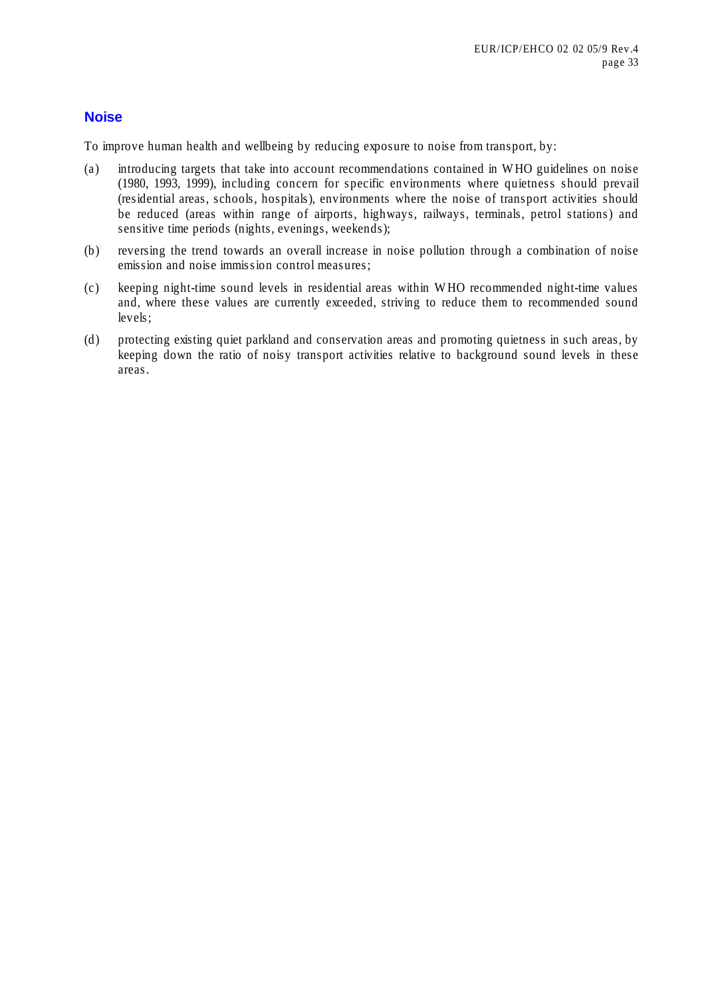## **Noise**

To improve human health and wellbeing by reducing exposure to noise from transport, by:

- (a) introducing targets that take into account recommendations contained in WHO guidelines on noise (1980, 1993, 1999), including concern for specific environments where quietness should prevail (residential areas, schools, hospitals), environments where the noise of transport activities should be reduced (areas within range of airports, highways, railways, terminals, petrol stations) and sensitive time periods (nights, evenings, weekends);
- (b) reversing the trend towards an overall increase in noise pollution through a combination of noise emission and noise immission control measures;
- (c) keeping night-time sound levels in residential areas within WHO recommended night-time values and, where these values are currently exceeded, striving to reduce them to recommended sound levels;
- (d) protecting existing quiet parkland and conservation areas and promoting quietness in such areas, by keeping down the ratio of noisy transport activities relative to background sound levels in these areas.